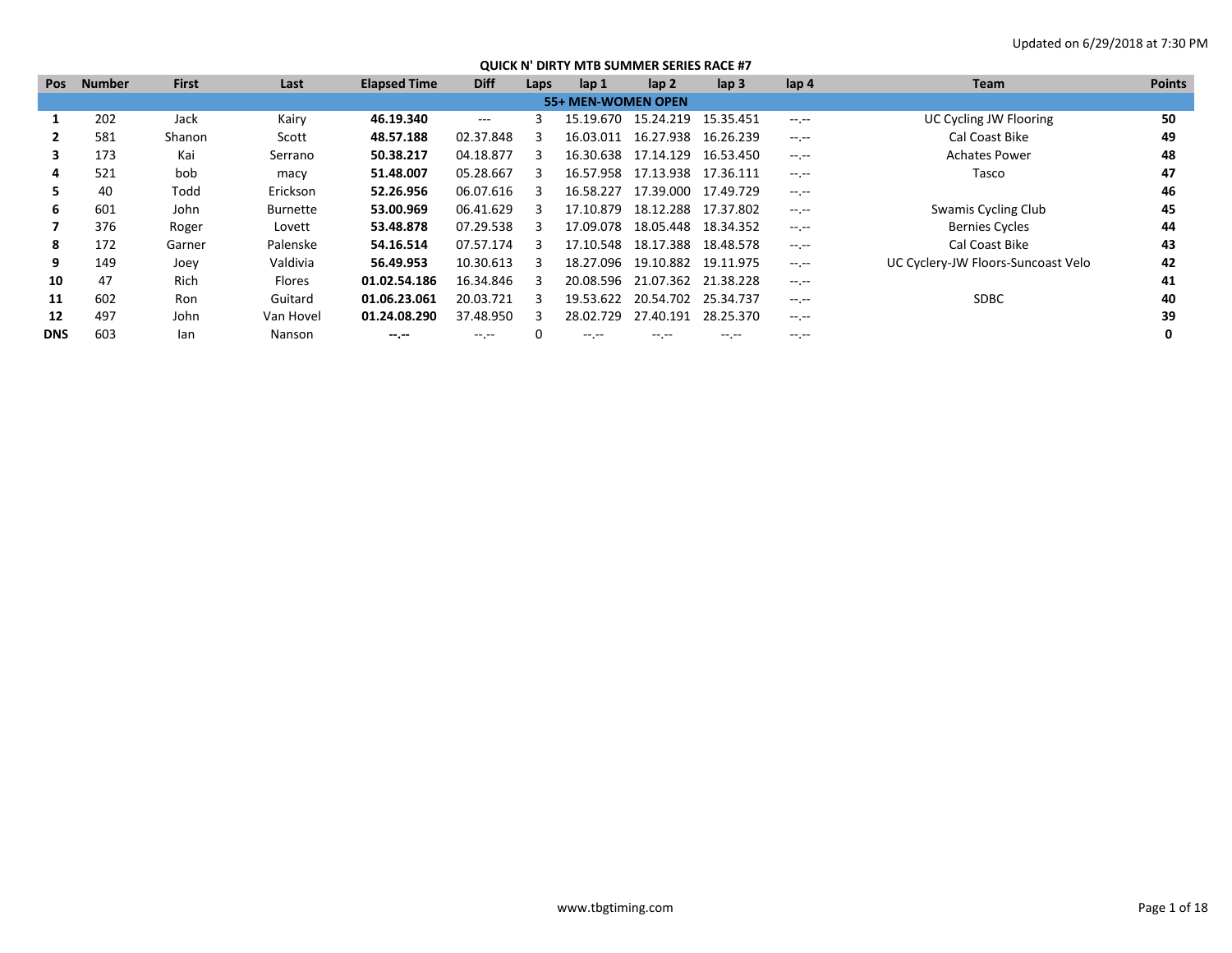| <b>Pos</b> | <b>Number</b> | <b>First</b> | Last            | <b>Elapsed Time</b> | <b>Diff</b> | Laps | lap 1              | $\mathsf{lap} 2$    | $\mathsf{lap} 3$ | lap 4            | <b>Team</b>                        | <b>Points</b> |
|------------|---------------|--------------|-----------------|---------------------|-------------|------|--------------------|---------------------|------------------|------------------|------------------------------------|---------------|
|            |               |              |                 |                     |             |      | 55+ MEN-WOMEN OPEN |                     |                  |                  |                                    |               |
|            | 202           | Jack         | Kairy           | 46.19.340           | $---$       |      | 15.19.670          | 15.24.219           | 15.35.451        | $-1$ , $-1$      | UC Cycling JW Flooring             | 50            |
|            | 581           | Shanon       | Scott           | 48.57.188           | 02.37.848   |      | 16.03.011          | 16.27.938           | 16.26.239        | $-1$ , $-1$      | Cal Coast Bike                     | 49            |
| 3          | 173           | Kai          | Serrano         | 50.38.217           | 04.18.877   |      | 16.30.638          | 17.14.129           | 16.53.450        | $-1 - 1 - 1 = 0$ | <b>Achates Power</b>               | 48            |
| 4          | 521           | bob          | macy            | 51.48.007           | 05.28.667   |      | 16.57.958          | 17.13.938 17.36.111 |                  | $-1$ , $-1$      | Tasco                              | 47            |
| 5.         | 40            | Todd         | Erickson        | 52.26.956           | 06.07.616   |      | 16.58.227          | 17.39.000           | 17.49.729        | $-1$ , $-1$      |                                    | 46            |
| 6          | 601           | John         | <b>Burnette</b> | 53.00.969           | 06.41.629   |      | 17.10.879          | 18.12.288           | 17.37.802        | $-1.1 - 1.0$     | Swamis Cycling Club                | 45            |
|            | 376           | Roger        | Lovett          | 53.48.878           | 07.29.538   | 3    | 17.09.078          | 18.05.448           | 18.34.352        | $-1 - 1 - 1 = 0$ | <b>Bernies Cycles</b>              | 44            |
| 8          | 172           | Garner       | Palenske        | 54.16.514           | 07.57.174   |      | 17.10.548          | 18.17.388           | 18.48.578        | $-1$ , $-1$      | Cal Coast Bike                     | 43            |
| 9          | 149           | Joev         | Valdivia        | 56.49.953           | 10.30.613   | 3    | 18.27.096          | 19.10.882           | 19.11.975        | $-1$ , $-1$      | UC Cyclery-JW Floors-Suncoast Velo | 42            |
| 10         | 47            | <b>Rich</b>  | <b>Flores</b>   | 01.02.54.186        | 16.34.846   | 3    | 20.08.596          | 21.07.362 21.38.228 |                  | $-1$ , $-1$      |                                    | 41            |
| 11         | 602           | Ron          | Guitard         | 01.06.23.061        | 20.03.721   | 3    | 19.53.622          | 20.54.702           | 25.34.737        | $-1.1 - 1.0$     | <b>SDBC</b>                        | 40            |
| 12         | 497           | John         | Van Hovel       | 01.24.08.290        | 37.48.950   | 3    | 28.02.729          | 27.40.191           | 28.25.370        | $-1$             |                                    | 39            |
| <b>DNS</b> | 603           | lan          | Nanson          | $- - - - -$         | $- - - - -$ |      | -- --              | -- --               | -- --            | -- --            |                                    |               |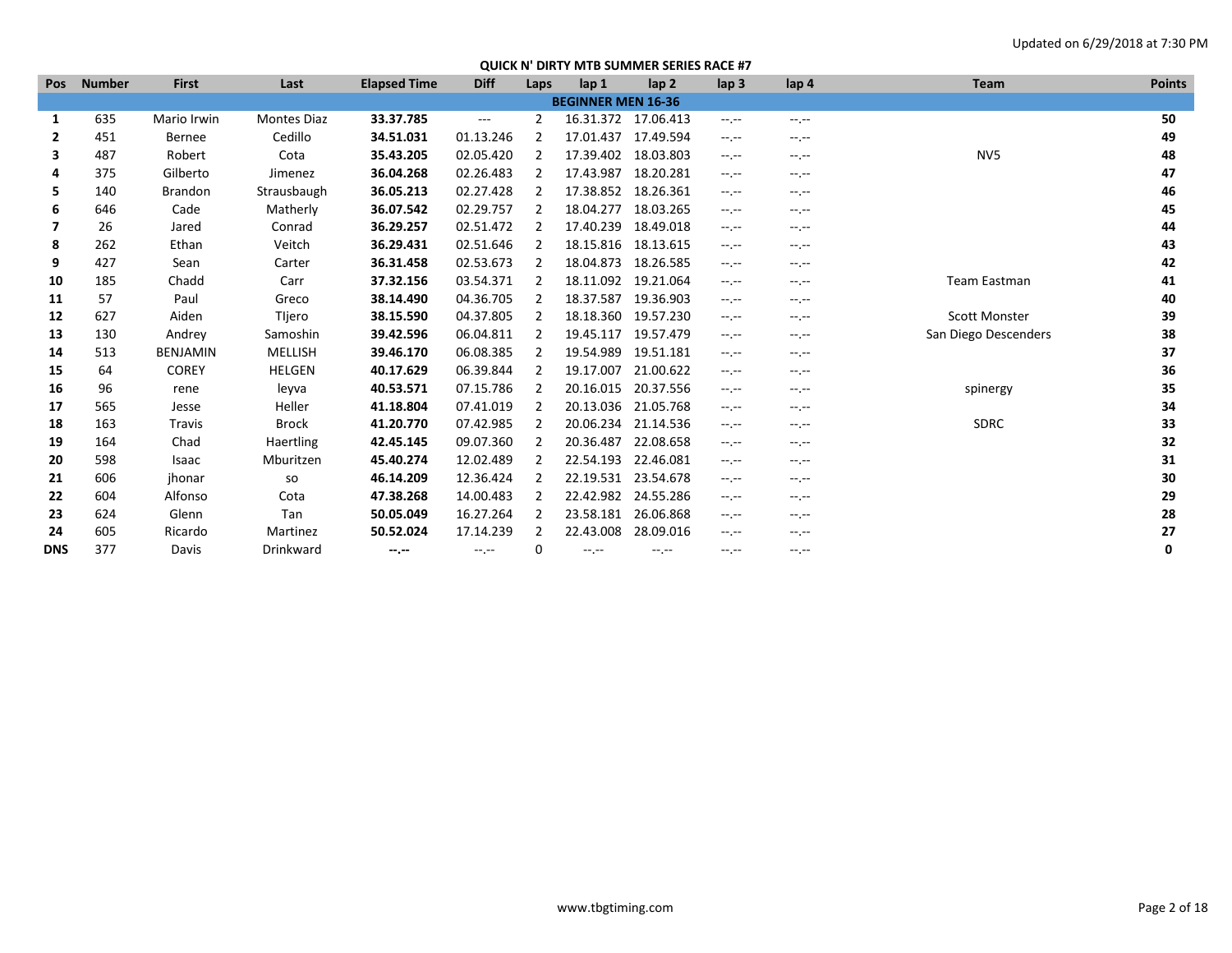| <b>Pos</b>   | <b>Number</b> | <b>First</b>    | Last               | <b>Elapsed Time</b> | <b>Diff</b> | Laps           | lap <sub>1</sub>          | lap <sub>2</sub> | lap <sub>3</sub> | lap 4       | Team                 | <b>Points</b> |
|--------------|---------------|-----------------|--------------------|---------------------|-------------|----------------|---------------------------|------------------|------------------|-------------|----------------------|---------------|
|              |               |                 |                    |                     |             |                | <b>BEGINNER MEN 16-36</b> |                  |                  |             |                      |               |
| 1            | 635           | Mario Irwin     | <b>Montes Diaz</b> | 33.37.785           | $\cdots$    | $\overline{2}$ | 16.31.372 17.06.413       |                  | $-1$ , $-1$      | $-1$ , $-1$ |                      | 50            |
| $\mathbf{2}$ | 451           | Bernee          | Cedillo            | 34.51.031           | 01.13.246   | 2              | 17.01.437                 | 17.49.594        | $-1$             | $-1$        |                      | 49            |
| 3            | 487           | Robert          | Cota               | 35.43.205           | 02.05.420   | 2              | 17.39.402                 | 18.03.803        | --.--            | $-1$        | NV <sub>5</sub>      | 48            |
| 4            | 375           | Gilberto        | Jimenez            | 36.04.268           | 02.26.483   | $\overline{2}$ | 17.43.987                 | 18.20.281        | $-1$ , $-1$      | $-1$ , $-1$ |                      | 47            |
| 5.           | 140           | <b>Brandon</b>  | Strausbaugh        | 36.05.213           | 02.27.428   | 2              | 17.38.852                 | 18.26.361        | --.--            | $-1$        |                      | 46            |
| 6            | 646           | Cade            | Matherly           | 36.07.542           | 02.29.757   | 2              | 18.04.277                 | 18.03.265        | $-1$ , $-1$      | --.--       |                      | 45            |
| 7            | 26            | Jared           | Conrad             | 36.29.257           | 02.51.472   | 2              | 17.40.239                 | 18.49.018        | --.--            | $-1$        |                      | 44            |
| 8            | 262           | Ethan           | Veitch             | 36.29.431           | 02.51.646   | 2              | 18.15.816                 | 18.13.615        | --.--            | --.--       |                      | 43            |
| 9            | 427           | Sean            | Carter             | 36.31.458           | 02.53.673   | 2              | 18.04.873                 | 18.26.585        | --.--            | $-1$        |                      | 42            |
| 10           | 185           | Chadd           | Carr               | 37.32.156           | 03.54.371   | 2              | 18.11.092                 | 19.21.064        | $-1$             | $-1$        | Team Eastman         | 41            |
| 11           | 57            | Paul            | Greco              | 38.14.490           | 04.36.705   | 2              | 18.37.587                 | 19.36.903        | $-1$ , $-1$      | --.--       |                      | 40            |
| 12           | 627           | Aiden           | Tljero             | 38.15.590           | 04.37.805   | 2              | 18.18.360                 | 19.57.230        | $-1$ , $-1$      | $-1$        | <b>Scott Monster</b> | 39            |
| 13           | 130           | Andrey          | Samoshin           | 39.42.596           | 06.04.811   | 2              | 19.45.117                 | 19.57.479        | --.--            | $-1$        | San Diego Descenders | 38            |
| 14           | 513           | <b>BENJAMIN</b> | MELLISH            | 39.46.170           | 06.08.385   | 2              | 19.54.989                 | 19.51.181        | $-1$ , $-1$      | $-1$ , $-1$ |                      | 37            |
| 15           | 64            | <b>COREY</b>    | <b>HELGEN</b>      | 40.17.629           | 06.39.844   | 2              | 19.17.007                 | 21.00.622        | $-1$ , $-1$      | $-1$        |                      | 36            |
| 16           | 96            | rene            | leyva              | 40.53.571           | 07.15.786   | 2              | 20.16.015                 | 20.37.556        | $-1$ , $-1$      | $-1$        | spinergy             | 35            |
| 17           | 565           | Jesse           | Heller             | 41.18.804           | 07.41.019   | 2              | 20.13.036                 | 21.05.768        | --.--            | $-1$        |                      | 34            |
| 18           | 163           | Travis          | Brock              | 41.20.770           | 07.42.985   | 2              | 20.06.234                 | 21.14.536        | $-1$ , $-1$      | $-1$ , $-1$ | <b>SDRC</b>          | 33            |
| 19           | 164           | Chad            | Haertling          | 42.45.145           | 09.07.360   | 2              | 20.36.487                 | 22.08.658        | $-1$ , $-1$      | $-1$        |                      | 32            |
| 20           | 598           | Isaac           | Mburitzen          | 45.40.274           | 12.02.489   | 2              | 22.54.193                 | 22.46.081        | $-1$ , $-1$      | $-1$        |                      | 31            |
| 21           | 606           | jhonar          | so                 | 46.14.209           | 12.36.424   | 2              | 22.19.531                 | 23.54.678        | $-1$ , $-1$      | $-1$        |                      | 30            |
| 22           | 604           | Alfonso         | Cota               | 47.38.268           | 14.00.483   | 2              | 22.42.982                 | 24.55.286        | --.--            | $-1$ , $-1$ |                      | 29            |
| 23           | 624           | Glenn           | Tan                | 50.05.049           | 16.27.264   | 2              | 23.58.181                 | 26.06.868        | --.--            | $-1$        |                      | 28            |
| 24           | 605           | Ricardo         | Martinez           | 50.52.024           | 17.14.239   | $\overline{2}$ | 22.43.008                 | 28.09.016        | --.--            | $-1$ .      |                      | 27            |
| <b>DNS</b>   | 377           | Davis           | Drinkward          | --.--               | --.--       | 0              | --.--                     | --.--            | --.--            | --.--       |                      | 0             |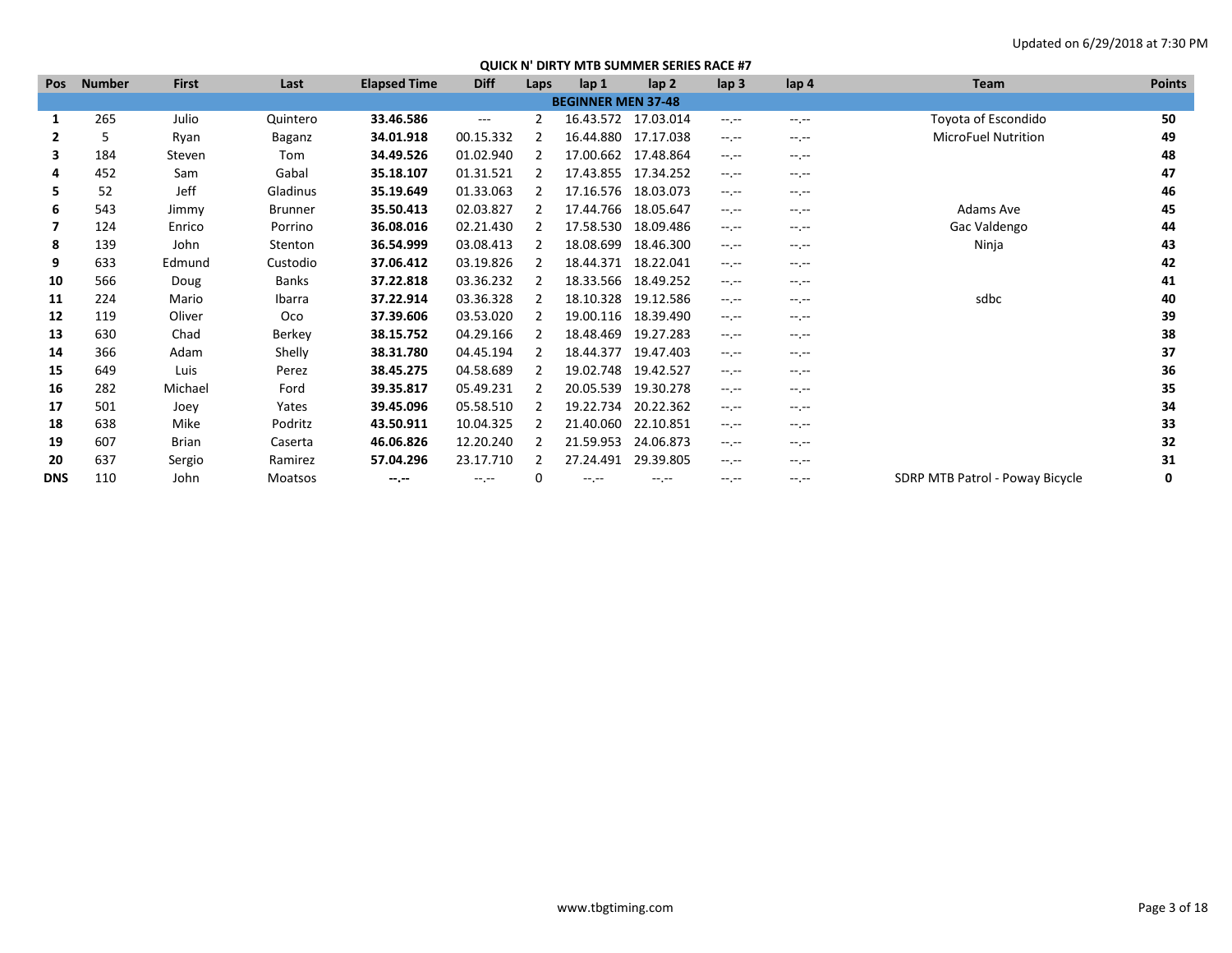| <b>Pos</b> | <b>Number</b> | <b>First</b> | Last           | <b>Elapsed Time</b> | <b>Diff</b>         | Laps          | lap 1                     | lap <sub>2</sub> | $\mathsf{lap} 3$                                                                               | lap <sub>4</sub>                                                                               | Team                            | <b>Points</b> |
|------------|---------------|--------------|----------------|---------------------|---------------------|---------------|---------------------------|------------------|------------------------------------------------------------------------------------------------|------------------------------------------------------------------------------------------------|---------------------------------|---------------|
|            |               |              |                |                     |                     |               | <b>BEGINNER MEN 37-48</b> |                  |                                                                                                |                                                                                                |                                 |               |
| 1          | 265           | Julio        | Quintero       | 33.46.586           | $\qquad \qquad - -$ | 2             | 16.43.572                 | 17.03.014        | $-1.1 -$                                                                                       | $-1$ , $-1$                                                                                    | Toyota of Escondido             | 50            |
| 2          | 5             | Ryan         | Baganz         | 34.01.918           | 00.15.332           |               | 16.44.880                 | 17.17.038        | $-1$ , $-1$                                                                                    | $-1$ , $-1$                                                                                    | <b>MicroFuel Nutrition</b>      | 49            |
| 3          | 184           | Steven       | Tom            | 34.49.526           | 01.02.940           | 2             | 17.00.662                 | 17.48.864        | $-1.1 -$                                                                                       | $-1.1$                                                                                         |                                 | 48            |
| 4          | 452           | Sam          | Gabal          | 35.18.107           | 01.31.521           |               | 17.43.855                 | 17.34.252        | $-1.1 - 1.0$                                                                                   | $-1.1 - 1.0$                                                                                   |                                 | 47            |
| 5          | 52            | <b>Jeff</b>  | Gladinus       | 35.19.649           | 01.33.063           |               | 17.16.576                 | 18.03.073        | $-1.1 - 1.0$                                                                                   | $-1.1 - 1.0$                                                                                   |                                 | 46            |
| 6          | 543           | Jimmy        | <b>Brunner</b> | 35.50.413           | 02.03.827           |               | 17.44.766                 | 18.05.647        | $-1.1 - 1.0$                                                                                   | $-1.1$                                                                                         | Adams Ave                       | 45            |
| 7          | 124           | Enrico       | Porrino        | 36.08.016           | 02.21.430           |               | 17.58.530                 | 18.09.486        | $-1.1 - 1.0$                                                                                   | $-1$ , $-1$                                                                                    | Gac Valdengo                    | 44            |
| 8          | 139           | John         | Stenton        | 36.54.999           | 03.08.413           |               | 18.08.699                 | 18.46.300        | $-1.1 - 1.0$                                                                                   | $-1$ , $-1$                                                                                    | Ninja                           | 43            |
| 9          | 633           | Edmund       | Custodio       | 37.06.412           | 03.19.826           |               | 18.44.371                 | 18.22.041        | $-1.1 - 1.0$                                                                                   | $-1$ , $-1$                                                                                    |                                 | 42            |
| 10         | 566           | Doug         | Banks          | 37.22.818           | 03.36.232           | $\mathcal{P}$ | 18.33.566                 | 18.49.252        | $-1.1 - 1.0$                                                                                   | $-1$ , $-1$                                                                                    |                                 | 41            |
| 11         | 224           | Mario        | Ibarra         | 37.22.914           | 03.36.328           | 2             | 18.10.328                 | 19.12.586        | $-1.1 - 1.0$                                                                                   | $-1$ , $-1$                                                                                    | sdbc                            | 40            |
| 12         | 119           | Oliver       | Oco            | 37.39.606           | 03.53.020           | 2             | 19.00.116                 | 18.39.490        | $\frac{1}{2} \left( \frac{1}{2} \right) \left( \frac{1}{2} \right) \left( \frac{1}{2} \right)$ | $-1.1$                                                                                         |                                 | 39            |
| 13         | 630           | Chad         | Berkey         | 38.15.752           | 04.29.166           |               | 18.48.469                 | 19.27.283        | $-1$ , $-1$                                                                                    | $-1$                                                                                           |                                 | 38            |
| 14         | 366           | Adam         | Shelly         | 38.31.780           | 04.45.194           |               | 18.44.377                 | 19.47.403        | $-1$ , $-1$                                                                                    | $-1$ , $-1$                                                                                    |                                 | 37            |
| 15         | 649           | Luis         | Perez          | 38.45.275           | 04.58.689           | 2             | 19.02.748                 | 19.42.527        | $-1$ , $-1$                                                                                    | $-1$ , $-1$                                                                                    |                                 | 36            |
| 16         | 282           | Michael      | Ford           | 39.35.817           | 05.49.231           |               | 20.05.539                 | 19.30.278        | $-1.1 - 1.0$                                                                                   | $-1.1 - 1.0$                                                                                   |                                 | 35            |
| 17         | 501           | Joey         | Yates          | 39.45.096           | 05.58.510           | 2             | 19.22.734                 | 20.22.362        | $-1.1 - 1.0$                                                                                   | $-1$ , $-1$                                                                                    |                                 | 34            |
| 18         | 638           | Mike         | Podritz        | 43.50.911           | 10.04.325           |               | 21.40.060                 | 22.10.851        | $-1.1 - 1.0$                                                                                   | $\frac{1}{2} \left( \frac{1}{2} \right) \left( \frac{1}{2} \right) \left( \frac{1}{2} \right)$ |                                 | 33            |
| 19         | 607           | Brian        | Caserta        | 46.06.826           | 12.20.240           | 2             | 21.59.953                 | 24.06.873        | $-1.1 - 1.0$                                                                                   | $-1$ , $-1$                                                                                    |                                 | 32            |
| 20         | 637           | Sergio       | Ramirez        | 57.04.296           | 23.17.710           |               | 27.24.491                 | 29.39.805        | $-1$ , $-1$                                                                                    | $-1$ .                                                                                         |                                 | 31            |
| <b>DNS</b> | 110           | John         | Moatsos        | $-1$                | $-1.1 -$            | 0             | $-1$ .                    | $-1.1$           | $-1$ , $-1$                                                                                    | $-1.1$                                                                                         | SDRP MTB Patrol - Poway Bicycle | 0             |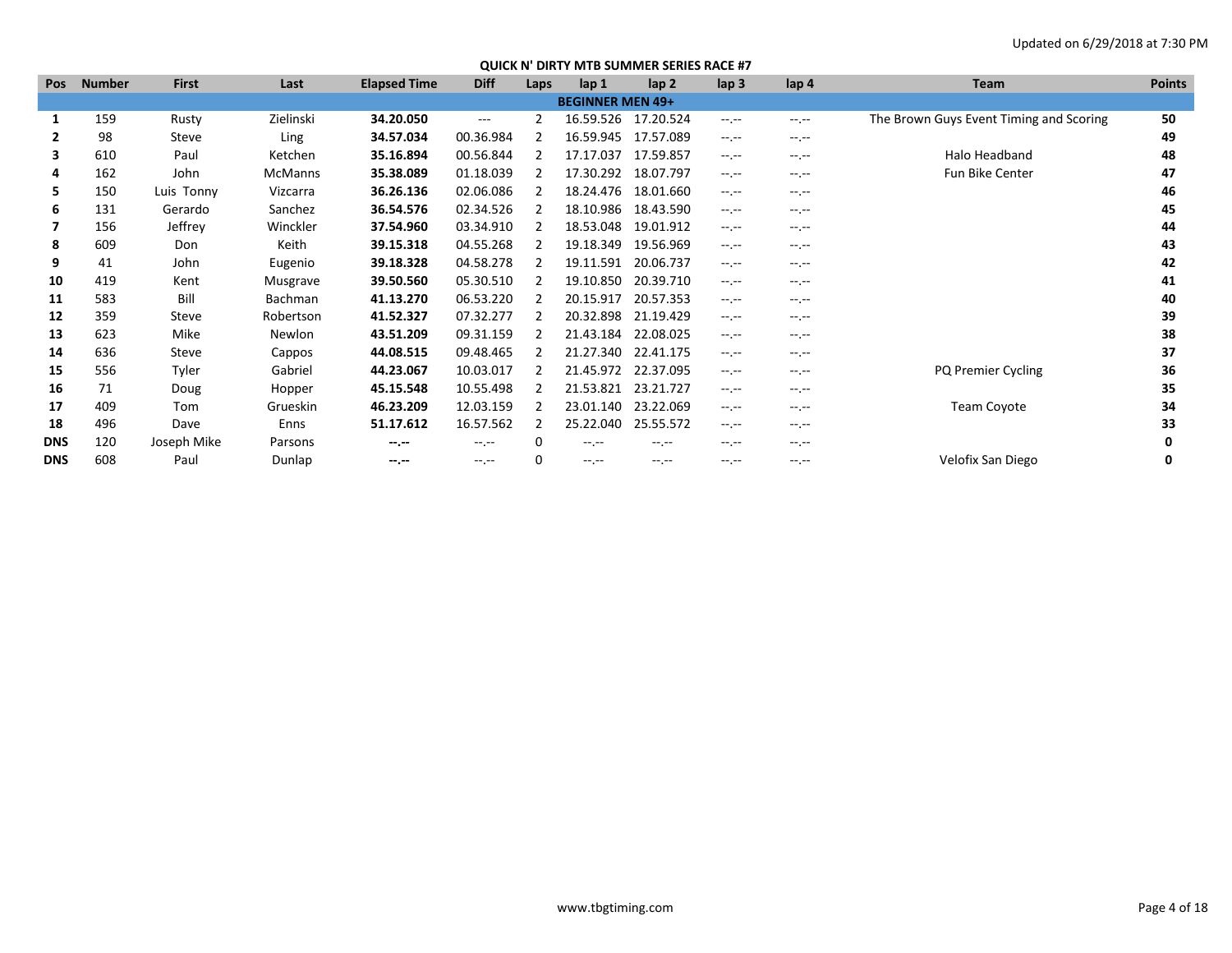| <b>Pos</b> | <b>Number</b> | <b>First</b> | Last           | <b>Elapsed Time</b> | <b>Diff</b> | Laps        | lap <sub>1</sub>        | lap <sub>2</sub> | $\mathsf{lap} 3$ | lap <sub>4</sub> | Team                                    | <b>Points</b> |
|------------|---------------|--------------|----------------|---------------------|-------------|-------------|-------------------------|------------------|------------------|------------------|-----------------------------------------|---------------|
|            |               |              |                |                     |             |             | <b>BEGINNER MEN 49+</b> |                  |                  |                  |                                         |               |
|            | 159           | Rusty        | Zielinski      | 34.20.050           | $\cdots$    | 2           | 16.59.526               | 17.20.524        | $-1.1$           | $-1.1 -$         | The Brown Guys Event Timing and Scoring | 50            |
| 2          | 98            | Steve        | Ling           | 34.57.034           | 00.36.984   |             | 16.59.945               | 17.57.089        | $-1$             | $-1.1 -$         |                                         | 49            |
| 3          | 610           | Paul         | Ketchen        | 35.16.894           | 00.56.844   |             | 17.17.037               | 17.59.857        | $-1.1$           | $-1$             | Halo Headband                           | 48            |
| 4          | 162           | John         | <b>McManns</b> | 35.38.089           | 01.18.039   |             | 17.30.292               | 18.07.797        | $-1.1$           | $-1$ , $-1$      | Fun Bike Center                         | 47            |
| 5.         | 150           | Luis Tonny   | Vizcarra       | 36.26.136           | 02.06.086   |             | 18.24.476               | 18.01.660        | $-1$ , $-1$      | $-1$ , $-1$      |                                         | 46            |
| 6          | 131           | Gerardo      | Sanchez        | 36.54.576           | 02.34.526   |             | 18.10.986               | 18.43.590        | $-1.1$           | $-1.1 -$         |                                         | 45            |
|            | 156           | Jeffrey      | Winckler       | 37.54.960           | 03.34.910   |             | 18.53.048               | 19.01.912        | $-1.1$           | $-1$ , $-1$      |                                         | 44            |
| 8          | 609           | Don          | Keith          | 39.15.318           | 04.55.268   |             | 19.18.349               | 19.56.969        | $-1$ , $-1$      | $-1$ .           |                                         | 43            |
| 9          | 41            | John         | Eugenio        | 39.18.328           | 04.58.278   |             | 19.11.591               | 20.06.737        | $-1$ , $-1$      | $-1.1 -$         |                                         | 42            |
| 10         | 419           | Kent         | Musgrave       | 39.50.560           | 05.30.510   |             | 19.10.850               | 20.39.710        | $-1$ , $-1$      | $-1$ .           |                                         | 41            |
| 11         | 583           | Bill         | <b>Bachman</b> | 41.13.270           | 06.53.220   |             | 20.15.917               | 20.57.353        | $-1.1 - 1.0$     | $-1$             |                                         | 40            |
| 12         | 359           | Steve        | Robertson      | 41.52.327           | 07.32.277   |             | 20.32.898               | 21.19.429        | $-1.1$           | $-1$ .           |                                         | 39            |
| 13         | 623           | Mike         | Newlon         | 43.51.209           | 09.31.159   |             | 21.43.184               | 22.08.025        | $-1.1$           | $-1$ , $-1$      |                                         | 38            |
| 14         | 636           | Steve        | Cappos         | 44.08.515           | 09.48.465   |             | 21.27.340               | 22.41.175        | $-1$ , $-1$      | $-1$ .           |                                         | 37            |
| 15         | 556           | Tyler        | Gabriel        | 44.23.067           | 10.03.017   |             | 21.45.972               | 22.37.095        | $-1$             | $-1.1 -$         | PQ Premier Cycling                      | 36            |
| 16         | 71            | Doug         | Hopper         | 45.15.548           | 10.55.498   |             | 21.53.821               | 23.21.727        | $-1$ , $-1$      | $-1$ .           |                                         | 35            |
| 17         | 409           | Tom          | Grueskin       | 46.23.209           | 12.03.159   |             | 23.01.140               | 23.22.069        | $-1$ , $-1$      | $-1$ .           | Team Coyote                             | 34            |
| 18         | 496           | Dave         | Enns           | 51.17.612           | 16.57.562   |             | 25.22.040               | 25.55.572        | $-1$ , $-1$      | $-1$ .           |                                         | 33            |
| <b>DNS</b> | 120           | Joseph Mike  | Parsons        | $-1$                | $-1$ , $-1$ | 0           | $-1$ , $-1$             | $-1$ . $-1$      | $-1$ .           | $-1$ .           |                                         |               |
| <b>DNS</b> | 608           | Paul         | Dunlap         | $-1 - 1 - 1 = 0$    | $-1$ , $-1$ | $\mathbf 0$ | $-1$ , $-1$             | $-1$ , $-1$      | $-1$             | $-1$ .           | Velofix San Diego                       | 0             |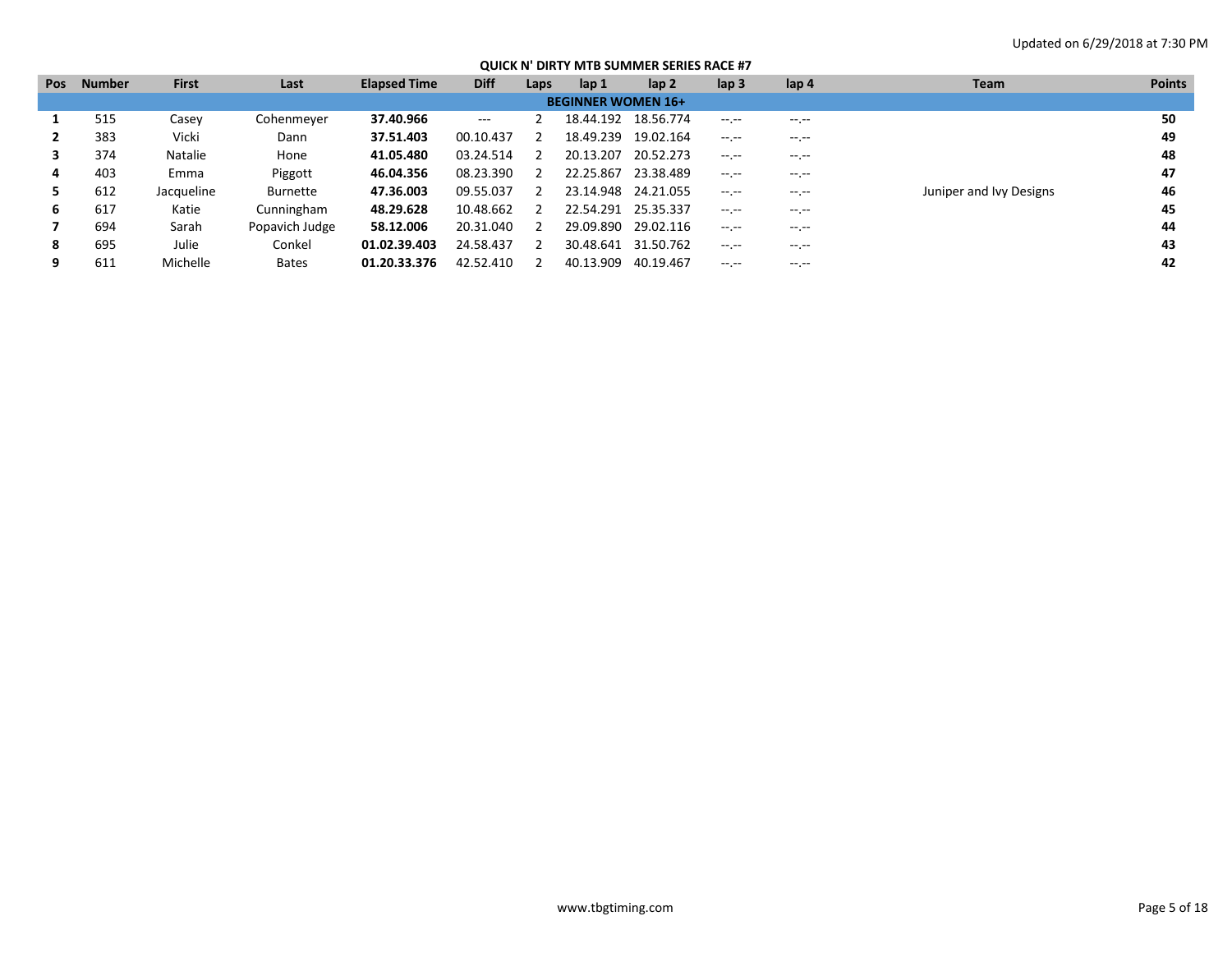| <b>Pos</b> | <b>Number</b> | <b>First</b>   | Last           | <b>Elapsed Time</b> | <b>Diff</b>         | Laps | lap 1                     | lap 2     | $\mathsf{lap} 3$ | lap 4              | Team                    | <b>Points</b> |
|------------|---------------|----------------|----------------|---------------------|---------------------|------|---------------------------|-----------|------------------|--------------------|-------------------------|---------------|
|            |               |                |                |                     |                     |      | <b>BEGINNER WOMEN 16+</b> |           |                  |                    |                         |               |
|            | 515           | Casev          | Cohenmeyer     | 37.40.966           | $\qquad \qquad - -$ |      | 18.44.192                 | 18.56.774 | $-1$ , $-1$      | $- - - - -$        |                         | 50            |
|            | 383           | Vicki          | Dann           | 37.51.403           | 00.10.437           |      | 18.49.239                 | 19.02.164 | $-1 - 1 - 1 = 0$ | $-1$ , $-1$        |                         | 49            |
|            | 374           | <b>Natalie</b> | Hone           | 41.05.480           | 03.24.514           |      | 20.13.207                 | 20.52.273 | $-1$ , $-1$      | $-1.1 -$           |                         | 48            |
| 4          | 403           | Emma           | Piggott        | 46.04.356           | 08.23.390           |      | 22.25.867                 | 23.38.489 |                  | $\cdots$<br>$\sim$ |                         | 47            |
|            | 612           | Jacqueline     | Burnette       | 47.36.003           | 09.55.037           |      | 23.14.948                 | 24.21.055 | and the product  | $-1.1 -$           | Juniper and Ivy Designs | 46            |
| 6          | 617           | Katie          | Cunningham     | 48.29.628           | 10.48.662           |      | 22.54.291                 | 25.35.337 | $-1$ , $-1$      | $-1$               |                         | 45            |
|            | 694           | Sarah          | Popavich Judge | 58.12.006           | 20.31.040           |      | 29.09.890                 | 29.02.116 | $-1.1$           | $\cdots$           |                         | 44            |
| 8          | 695           | Julie          | Conkel         | 01.02.39.403        | 24.58.437           |      | 30.48.641                 | 31.50.762 | $-1 - 1 - 1 = 0$ | $- - - - -$        |                         | 43            |
|            | 611           | Michelle       | <b>Bates</b>   | 01.20.33.376        | 42.52.410           |      | 40.13.909                 | 40.19.467 | $-1$ .           | $\cdots$           |                         | 42            |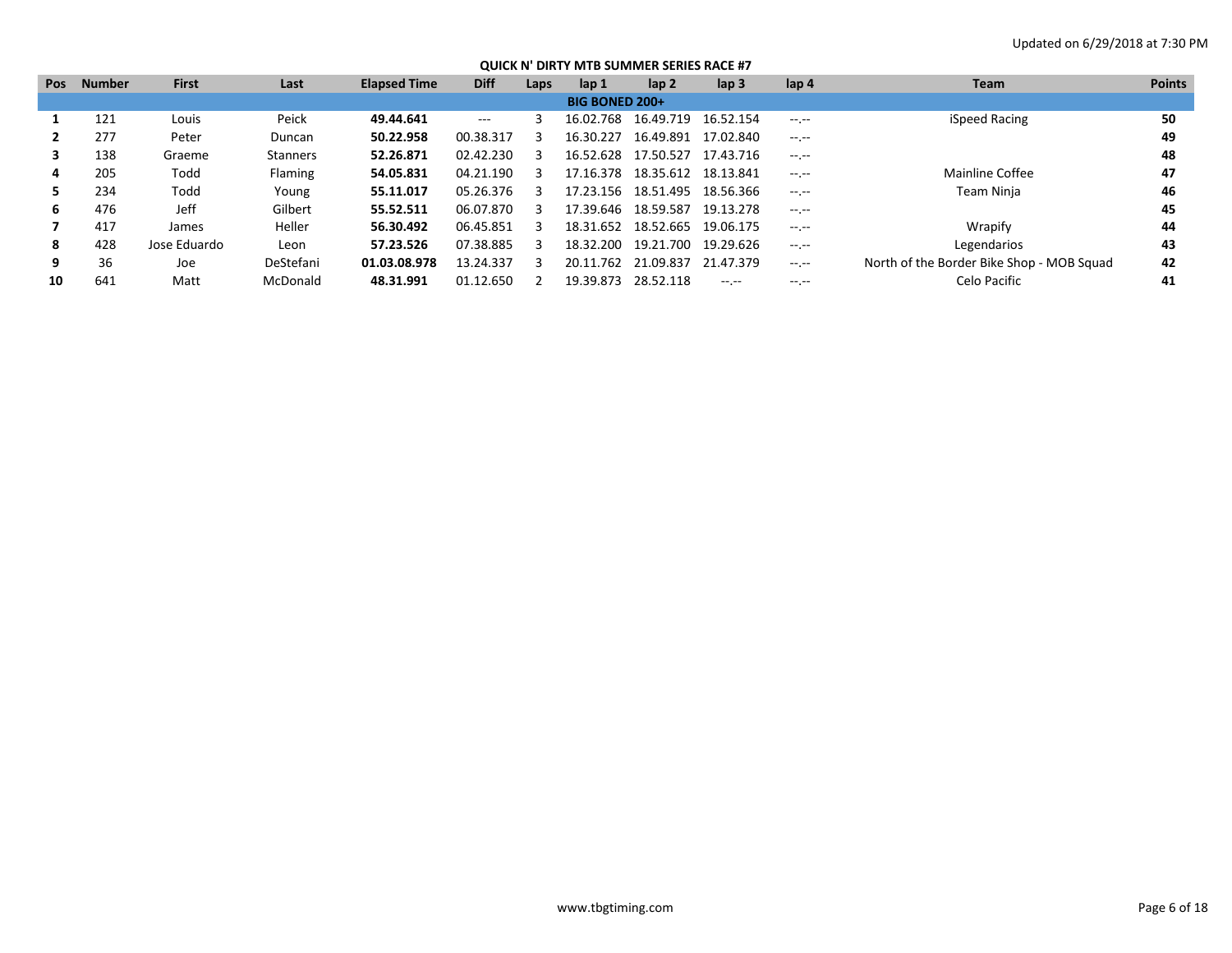| <b>Pos</b> | <b>Number</b> | <b>First</b> | Last            | <b>Elapsed Time</b> | <b>Diff</b> | Laps | lap 1                 | lap <sub>2</sub> | lap <sub>3</sub> | lap 4        | Team                                      | <b>Points</b> |
|------------|---------------|--------------|-----------------|---------------------|-------------|------|-----------------------|------------------|------------------|--------------|-------------------------------------------|---------------|
|            |               |              |                 |                     |             |      | <b>BIG BONED 200+</b> |                  |                  |              |                                           |               |
|            | 121           | Louis        | Peick           | 49.44.641           | $---$       |      | 16.02.768             | 16.49.719        | 16.52.154        | $-1$ , $-1$  | iSpeed Racing                             | 50            |
|            | 277           | Peter        | Duncan          | 50.22.958           | 00.38.317   |      | 16.30.227             | 16.49.891        | 17.02.840        | $-1$ , $-1$  |                                           | 49            |
|            | 138           | Graeme       | <b>Stanners</b> | 52.26.871           | 02.42.230   |      | 16.52.628             | 17.50.527        | 17.43.716        | $-1$ , $-1$  |                                           | 48            |
| 4          | 205           | Todd         | Flaming         | 54.05.831           | 04.21.190   |      | 17.16.378             | 18.35.612        | 18.13.841        | $\cdots$     | Mainline Coffee                           | 47            |
| 5.         | 234           | Todd         | Young           | 55.11.017           | 05.26.376   |      | 17.23.156             | 18.51.495        | 18.56.366        | $-1$ , $-1$  | Team Ninja                                | 46            |
| 6          | 476           | Jeff         | Gilbert         | 55.52.511           | 06.07.870   |      | 17.39.646             | 18.59.587        | 19.13.278        | $-1$ , $-1$  |                                           | 45            |
|            | 417           | James        | Heller          | 56.30.492           | 06.45.851   |      | 18.31.652             | 18.52.665        | 19.06.175        | $-1.1 - 1.0$ | Wrapify                                   | 44            |
| 8          | 428           | Jose Eduardo | Leon            | 57.23.526           | 07.38.885   |      | 18.32.200             | 19.21.700        | 19.29.626        | $-1.1 - 1.0$ | Legendarios                               | 43            |
| 9          | 36            | Joe          | DeStefani       | 01.03.08.978        | 13.24.337   |      | 20.11.762             | 21.09.837        | 21.47.379        | $-1.1 - 1.0$ | North of the Border Bike Shop - MOB Squad | 42            |
| 10         | 641           | Matt         | McDonald        | 48.31.991           | 01.12.650   |      | 19.39.873             | 28.52.118        | $---$            | $\cdots$     | Celo Pacific                              | 41            |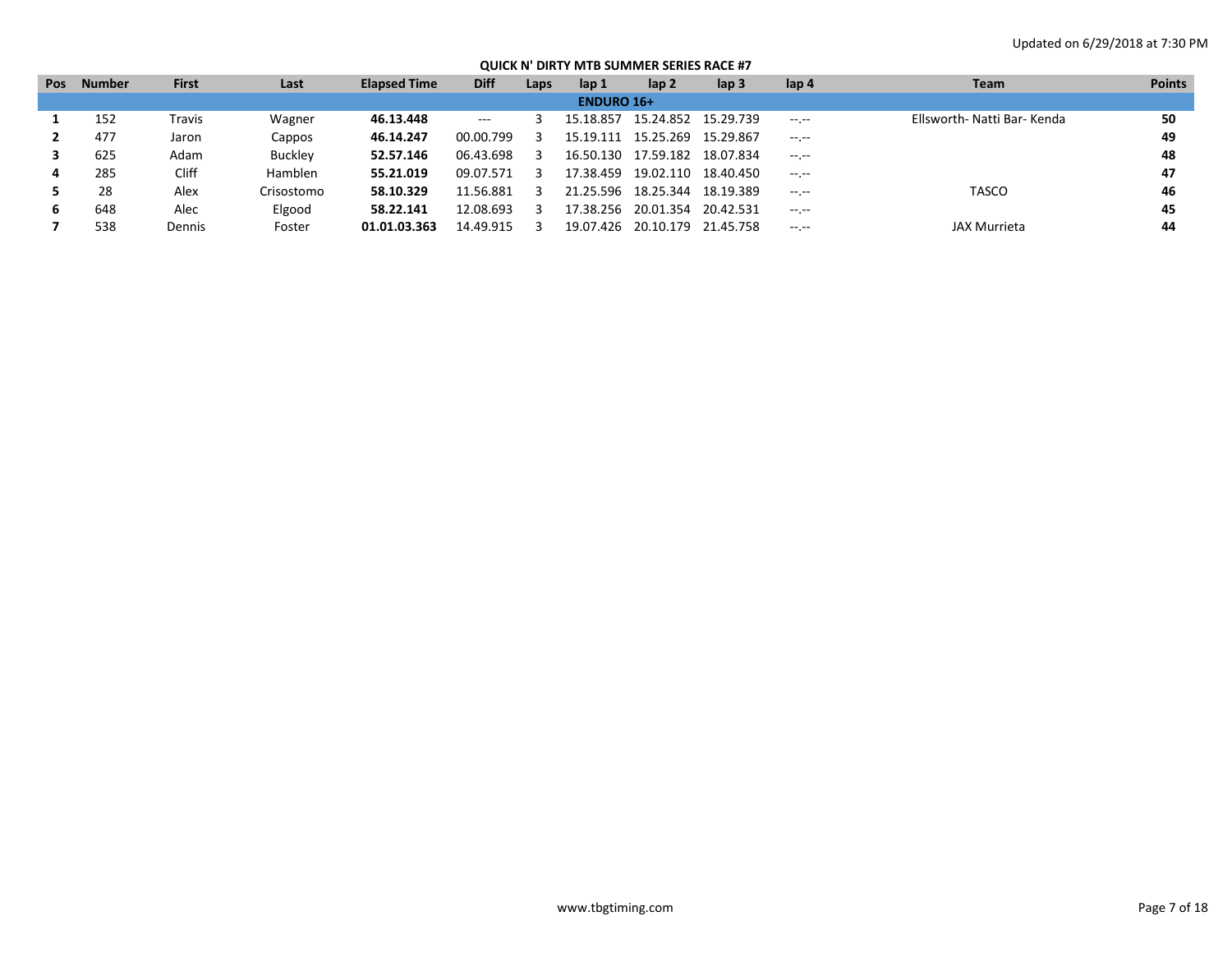| <b>Pos</b> | <b>Number</b> | <b>First</b> | Last       | <b>Elapsed Time</b> | <b>Diff</b> | Laps | lap 1             | lap <sub>2</sub>    | lap 3               | lap 4            | <b>Team</b>                 | <b>Points</b> |
|------------|---------------|--------------|------------|---------------------|-------------|------|-------------------|---------------------|---------------------|------------------|-----------------------------|---------------|
|            |               |              |            |                     |             |      | <b>ENDURO 16+</b> |                     |                     |                  |                             |               |
|            | 152           | Travis       | Wagner     | 46.13.448           | $  -$       |      | 15.18.857         | 15.24.852 15.29.739 |                     | $-1.1 - 1.0$     | Ellsworth- Natti Bar- Kenda | 50            |
|            | 477           | Jaron        | Cappos     | 46.14.247           | 00.00.799   |      | 15.19.111         | 15.25.269           | 15.29.867           | $-1$ , $-1$      |                             | 49            |
|            | 625           | Adam         | Buckley    | 52.57.146           | 06.43.698   |      | 16.50.130         |                     | 17.59.182 18.07.834 | $-1$ , $-1$      |                             | 48            |
| 4          | 285           | Cliff        | Hamblen    | 55.21.019           | 09.07.571   | З    | 17.38.459         |                     | 19.02.110 18.40.450 | $-1 - 1 - 1 = 0$ |                             | 47            |
|            | 28            | Alex         | Crisostomo | 58.10.329           | 11.56.881   |      | 21.25.596         | 18.25.344           | 18.19.389           | $-1.1$           | <b>TASCO</b>                | 46            |
| ь          | 648           | Alec         | Elgood     | 58.22.141           | 12.08.693   |      | 17.38.256         | 20.01.354           | 20.42.531           | $-1$ , $-1$      |                             | 45            |
|            | 538           | Dennis       | Foster     | 01.01.03.363        | 14.49.915   |      | 19.07.426         | 20.10.179           | 21.45.758           | $-1.1$           | <b>JAX Murrieta</b>         | 44            |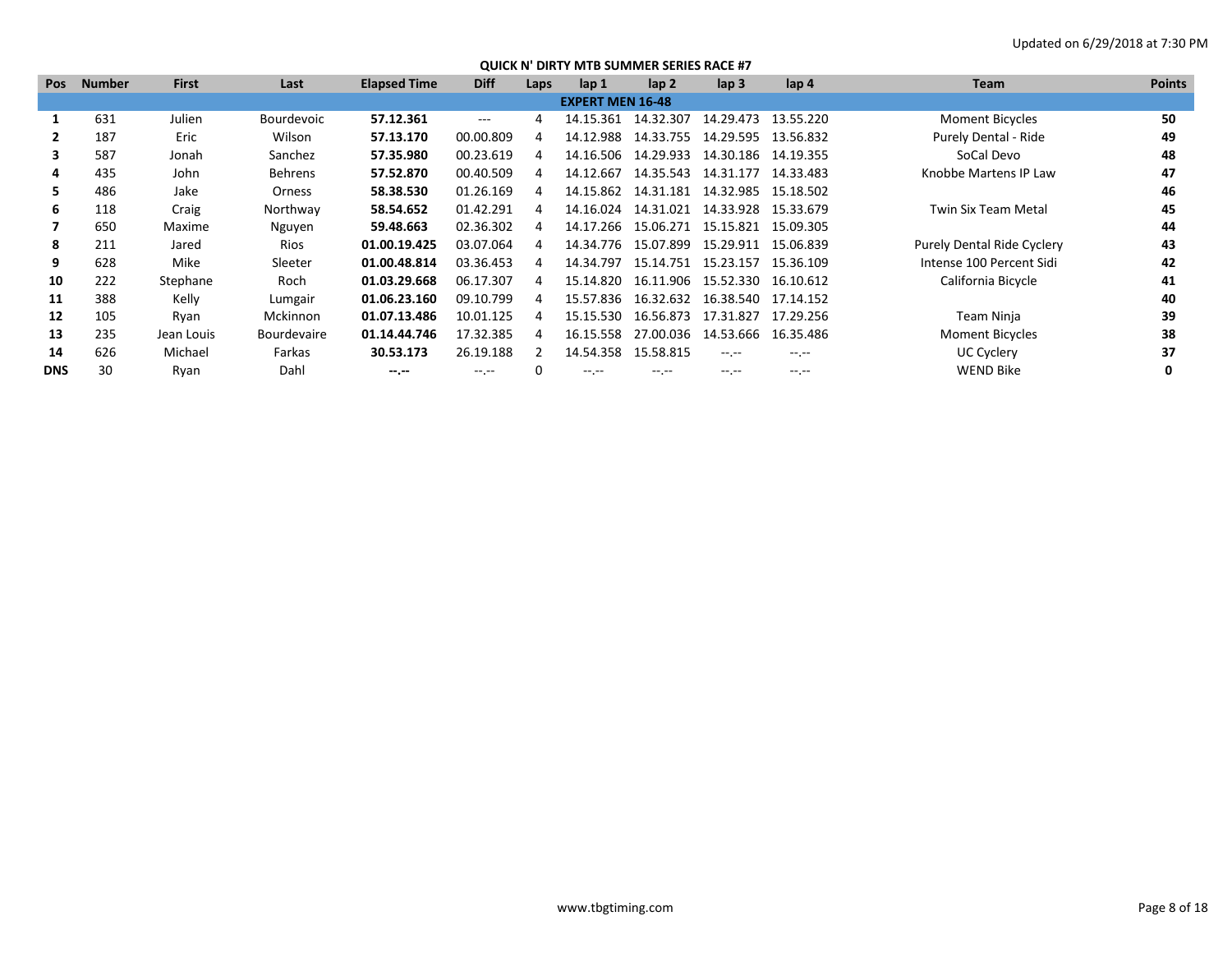| <b>Pos</b> | <b>Number</b> | <b>First</b> | Last               | <b>Elapsed Time</b> | <b>Diff</b> | Laps | lap 1                   | $\mathsf{lap} 2$ | $\mathsf{lap} 3$                | lap 4            | Team                       | <b>Points</b> |
|------------|---------------|--------------|--------------------|---------------------|-------------|------|-------------------------|------------------|---------------------------------|------------------|----------------------------|---------------|
|            |               |              |                    |                     |             |      | <b>EXPERT MEN 16-48</b> |                  |                                 |                  |                            |               |
|            | 631           | Julien       | Bourdevoic         | 57.12.361           | $---$       | 4    | 14.15.361               | 14.32.307        | 14.29.473                       | 13.55.220        | <b>Moment Bicycles</b>     | 50            |
|            | 187           | Eric         | Wilson             | 57.13.170           | 00.00.809   | 4    | 14.12.988               | 14.33.755        | 14.29.595 13.56.832             |                  | Purely Dental - Ride       | 49            |
| 3          | 587           | Jonah        | Sanchez            | 57.35.980           | 00.23.619   | 4    | 14.16.506               | 14.29.933        | 14.30.186                       | 14.19.355        | SoCal Devo                 | 48            |
| 4          | 435           | John         | <b>Behrens</b>     | 57.52.870           | 00.40.509   | 4    | 14.12.667               | 14.35.543        | 14.31.177                       | 14.33.483        | Knobbe Martens IP Law      | 47            |
| 5.         | 486           | Jake         | Orness             | 58.38.530           | 01.26.169   | 4    | 14.15.862               | 14.31.181        | 14.32.985 15.18.502             |                  |                            | 46            |
| 6          | 118           | Craig        | Northway           | 58.54.652           | 01.42.291   | 4    | 14.16.024               |                  | 14.31.021  14.33.928  15.33.679 |                  | <b>Twin Six Team Metal</b> | 45            |
|            | 650           | Maxime       | Nguyen             | 59.48.663           | 02.36.302   | 4    | 14.17.266               |                  | 15.06.271  15.15.821  15.09.305 |                  |                            | 44            |
| 8          | 211           | Jared        | Rios               | 01.00.19.425        | 03.07.064   | 4    | 14.34.776               | 15.07.899        | 15.29.911                       | 15.06.839        | Purely Dental Ride Cyclery | 43            |
| 9          | 628           | Mike         | Sleeter            | 01.00.48.814        | 03.36.453   | 4    | 14.34.797               | 15.14.751        | 15.23.157                       | 15.36.109        | Intense 100 Percent Sidi   | 42            |
| 10         | 222           | Stephane     | Roch               | 01.03.29.668        | 06.17.307   | 4    | 15.14.820               |                  | 16.11.906 15.52.330             | 16.10.612        | California Bicycle         | 41            |
| 11         | 388           | Kelly        | Lumgair            | 01.06.23.160        | 09.10.799   | 4    | 15.57.836               |                  | 16.32.632 16.38.540 17.14.152   |                  |                            | 40            |
| 12         | 105           | Ryan         | Mckinnon           | 01.07.13.486        | 10.01.125   | 4    | 15.15.530               |                  | 16.56.873 17.31.827             | 17.29.256        | Team Ninja                 | 39            |
| 13         | 235           | Jean Louis   | <b>Bourdevaire</b> | 01.14.44.746        | 17.32.385   | 4    | 16.15.558               | 27.00.036        | 14.53.666                       | 16.35.486        | <b>Moment Bicycles</b>     | 38            |
| 14         | 626           | Michael      | Farkas             | 30.53.173           | 26.19.188   |      | 14.54.358               | 15.58.815        | $-1.1 - 1.0$                    | $-1$ .           | <b>UC Cyclery</b>          | 37            |
| <b>DNS</b> | 30            | Ryan         | Dahl               | $- - - - -$         | --.--       |      | -- --                   | $-1$ . $-1$      | $-1$                            | $-1 - 1 - 1 = 0$ | <b>WEND Bike</b>           | 0             |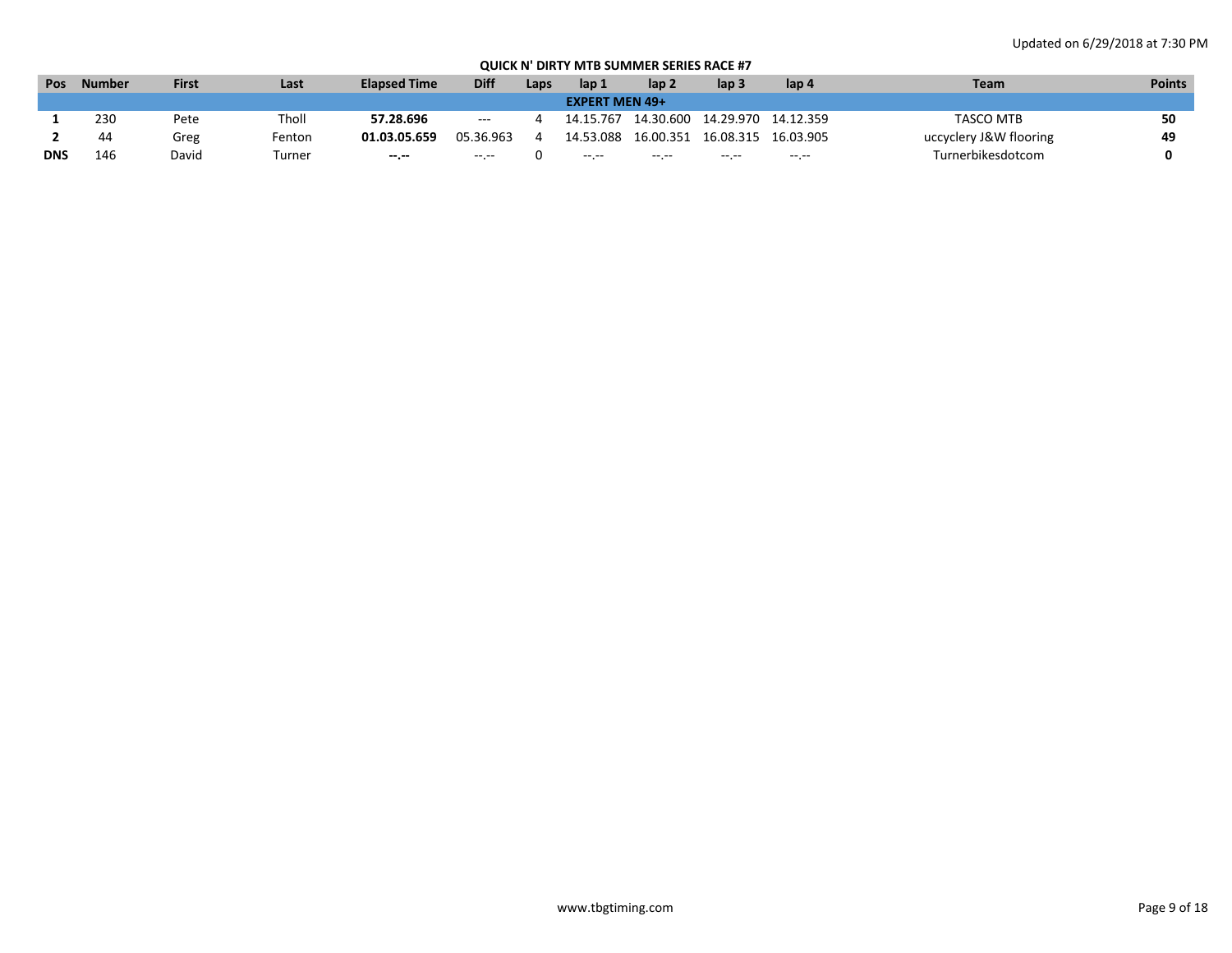| Pos        | <b>Number</b> | <b>First</b> | Last   | <b>Elapsed Time</b> | <b>Diff</b> | Laps | lap 1                 | lap <sub>2</sub> | lap 3     | lap 4     | Team                   | <b>Points</b> |
|------------|---------------|--------------|--------|---------------------|-------------|------|-----------------------|------------------|-----------|-----------|------------------------|---------------|
|            |               |              |        |                     |             |      | <b>EXPERT MEN 49+</b> |                  |           |           |                        |               |
|            | 230           | Pete         | Tholl  | 57.28.696           | $   \,$     |      | 14.15.767             | 14.30.600        | 14.29.970 | 14.12.359 | TASCO MTB              | cΛ            |
|            | 44            | Greg         | Fenton | 01.03.05.659        | 05.36.963   |      | 14.53.088             | 16.00.351        | 16.08.315 | 16.03.905 | uccyclery J&W flooring | 49            |
| <b>DNS</b> | 146           | David        | rurner | $-1.1$              | -- --       |      | $\cdots$              | $\cdots$         | -- --     | $-1.1$    | Turnerbikesdotcom      |               |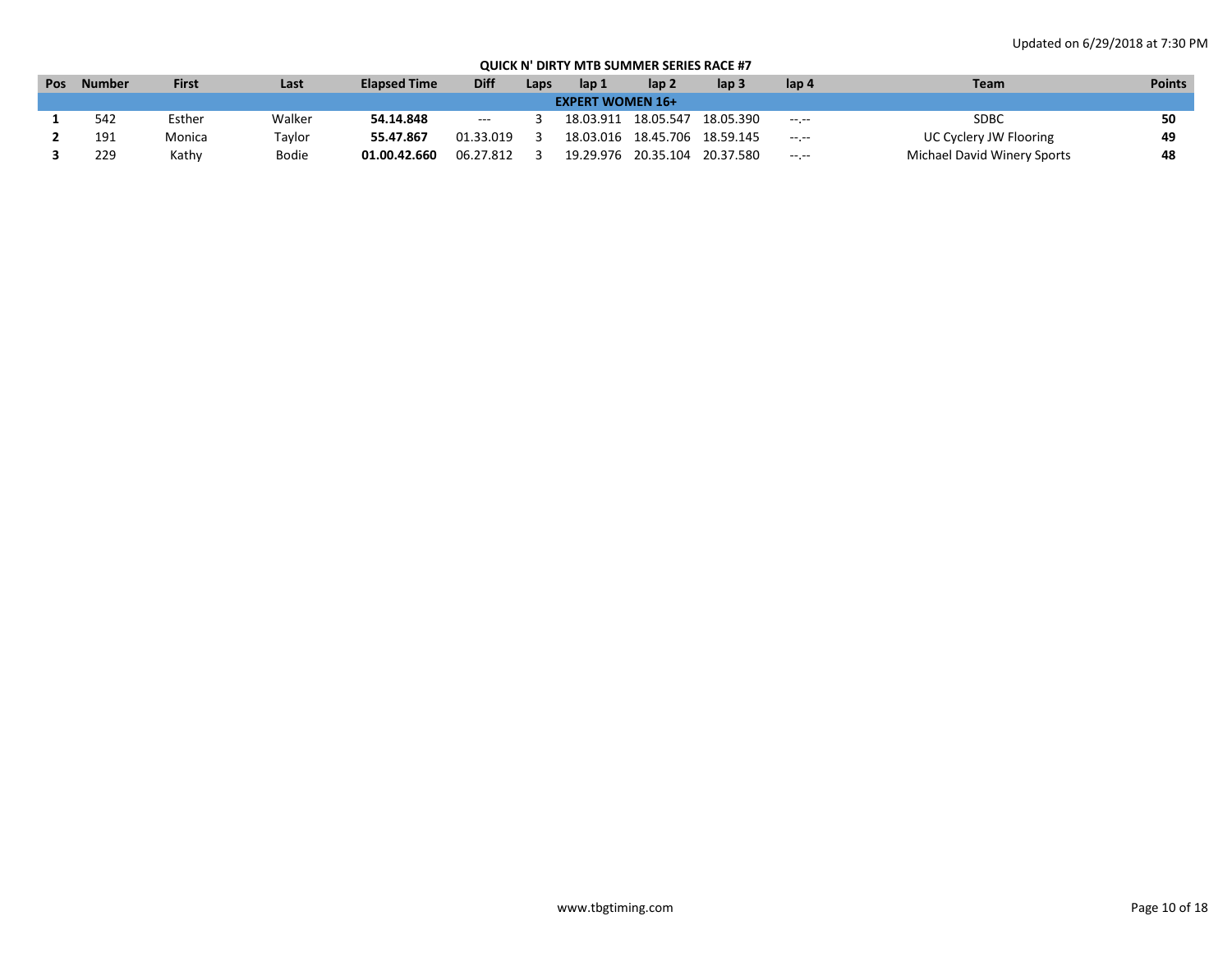| Pos | <b>Number</b> | <b>First</b> | Last         | <b>Elapsed Time</b> | <b>Diff</b>   | Laps | lap 1                   | lap <sub>2</sub>              | lap 3     | lap 4            | Team                        | <b>Points</b> |
|-----|---------------|--------------|--------------|---------------------|---------------|------|-------------------------|-------------------------------|-----------|------------------|-----------------------------|---------------|
|     |               |              |              |                     |               |      | <b>EXPERT WOMEN 16+</b> |                               |           |                  |                             |               |
|     | 542           | Esther       | Walker       | 54.14.848           | $\sim$ $\sim$ |      |                         | 18.03.911 18.05.547           | 18.05.390 | $\sim$ - $\sim$  | SDBC                        | 50            |
|     | 191           | Monica       | Taylor       | 55.47.867           | 01.33.019     |      |                         | 18.03.016 18.45.706 18.59.145 |           | $-1 - 1 - 1 = 0$ | UC Cyclery JW Flooring      | 49            |
|     | 229           | Kathy        | <b>Bodie</b> | 01.00.42.660        | 06.27.812     |      | 19.29.976               | 20.35.104                     | 20.37.580 | $-1.1 - 1.0$     | Michael David Winery Sports | 48            |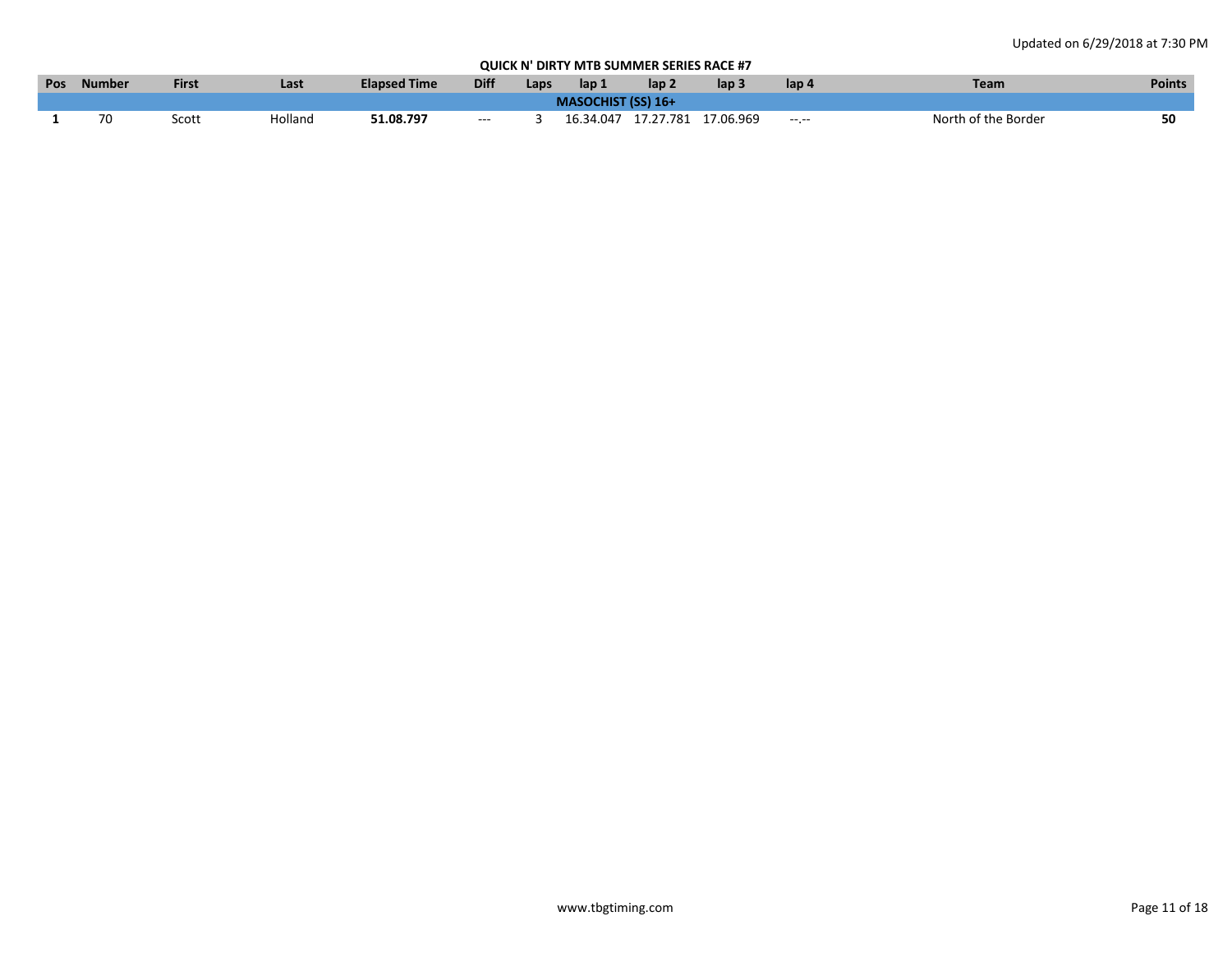| <b>Pos</b> | <b>Number</b> | First | Last    | <b>Elapsed Time</b> | <b>Diff</b>   | Laps | lap 1                     | lap 2 | lap :                         | lap 4        | Team                | <b>Points</b> |
|------------|---------------|-------|---------|---------------------|---------------|------|---------------------------|-------|-------------------------------|--------------|---------------------|---------------|
|            |               |       |         |                     |               |      | <b>MASOCHIST (SS) 16+</b> |       |                               |              |                     |               |
|            | 70            | Scott | Holland | 51.08.797           | $\sim$ $\sim$ |      |                           |       | 16.34.047 17.27.781 17.06.969 | $-1.1 - 1.0$ | North of the Border | 50            |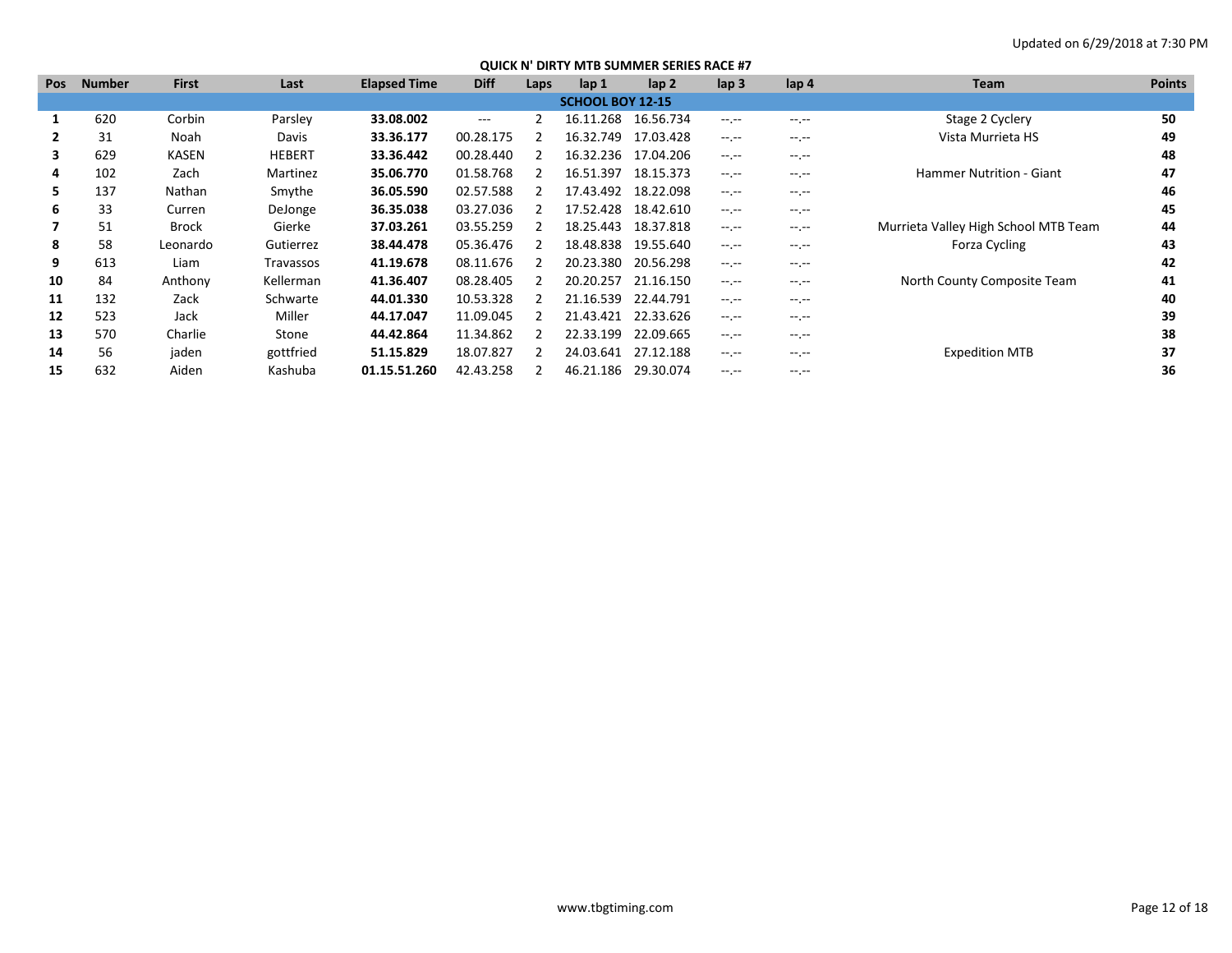| <b>Pos</b> | <b>Number</b> | <b>First</b> | Last          | <b>Elapsed Time</b> | <b>Diff</b> | Laps | lap 1                   | lap <sub>2</sub> | $\mathsf{lap} 3$ | $\mathsf{lap} 4$ | Team                                 | <b>Points</b> |
|------------|---------------|--------------|---------------|---------------------|-------------|------|-------------------------|------------------|------------------|------------------|--------------------------------------|---------------|
|            |               |              |               |                     |             |      | <b>SCHOOL BOY 12-15</b> |                  |                  |                  |                                      |               |
|            | 620           | Corbin       | Parsley       | 33.08.002           | $---$       |      | 16.11.268               | 16.56.734        | $-1$ .           | $-1$ , $-1$      | Stage 2 Cyclery                      | 50            |
|            | 31            | Noah         | Davis         | 33.36.177           | 00.28.175   |      | 16.32.749               | 17.03.428        | $-1$ , $-1$      | $-1.1 -$         | Vista Murrieta HS                    | 49            |
| 3          | 629           | KASEN        | <b>HEBERT</b> | 33.36.442           | 00.28.440   |      | 16.32.236               | 17.04.206        | $-1$             | $-1.1 -$         |                                      | 48            |
| 4          | 102           | Zach         | Martinez      | 35.06.770           | 01.58.768   |      | 16.51.397               | 18.15.373        | $-1.1$           | $-1$ .           | Hammer Nutrition - Giant             | 47            |
| 5.         | 137           | Nathan       | Smythe        | 36.05.590           | 02.57.588   |      | 17.43.492               | 18.22.098        | $-1$ , $-1$      | $-1$ , $-1$      |                                      | 46            |
| 6          | 33            | Curren       | DeJonge       | 36.35.038           | 03.27.036   |      | 17.52.428               | 18.42.610        | $-1$ , $-1$      | $-1.1$           |                                      | 45            |
|            | 51            | <b>Brock</b> | Gierke        | 37.03.261           | 03.55.259   |      | 18.25.443               | 18.37.818        | $-1$ , $-1$      | $-1.1$           | Murrieta Valley High School MTB Team | 44            |
| 8          | 58            | Leonardo     | Gutierrez     | 38.44.478           | 05.36.476   |      | 18.48.838               | 19.55.640        | $-1.1$           | $-1.1 - 1.0$     | Forza Cycling                        | 43            |
| 9          | 613           | Liam         | Travassos     | 41.19.678           | 08.11.676   |      | 20.23.380               | 20.56.298        | $-1$ , $-1$      | $-1.1 - 1.0$     |                                      | 42            |
| 10         | 84            | Anthony      | Kellerman     | 41.36.407           | 08.28.405   |      | 20.20.257               | 21.16.150        | $-1$ , $-1$      | $-1$             | North County Composite Team          | 41            |
| 11         | 132           | Zack         | Schwarte      | 44.01.330           | 10.53.328   |      | 21.16.539               | 22.44.791        | $-1.1 - 1.0$     | $-1.1$           |                                      | 40            |
| 12         | 523           | Jack         | Miller        | 44.17.047           | 11.09.045   |      | 21.43.421               | 22.33.626        | $-1.1$           | $-1.1 -$         |                                      | 39            |
| 13         | 570           | Charlie      | Stone         | 44.42.864           | 11.34.862   |      | 22.33.199               | 22.09.665        | $-1.1$           | $-1$ , $-1$      |                                      | 38            |
| 14         | 56            | jaden        | gottfried     | 51.15.829           | 18.07.827   |      | 24.03.641               | 27.12.188        | $-1$ , $-1$      | $-1$ , $-1$      | <b>Expedition MTB</b>                | 37            |
| 15         | 632           | Aiden        | Kashuba       | 01.15.51.260        | 42.43.258   |      | 46.21.186               | 29.30.074        | $- - - - -$      | $-1.1 -$         |                                      | 36            |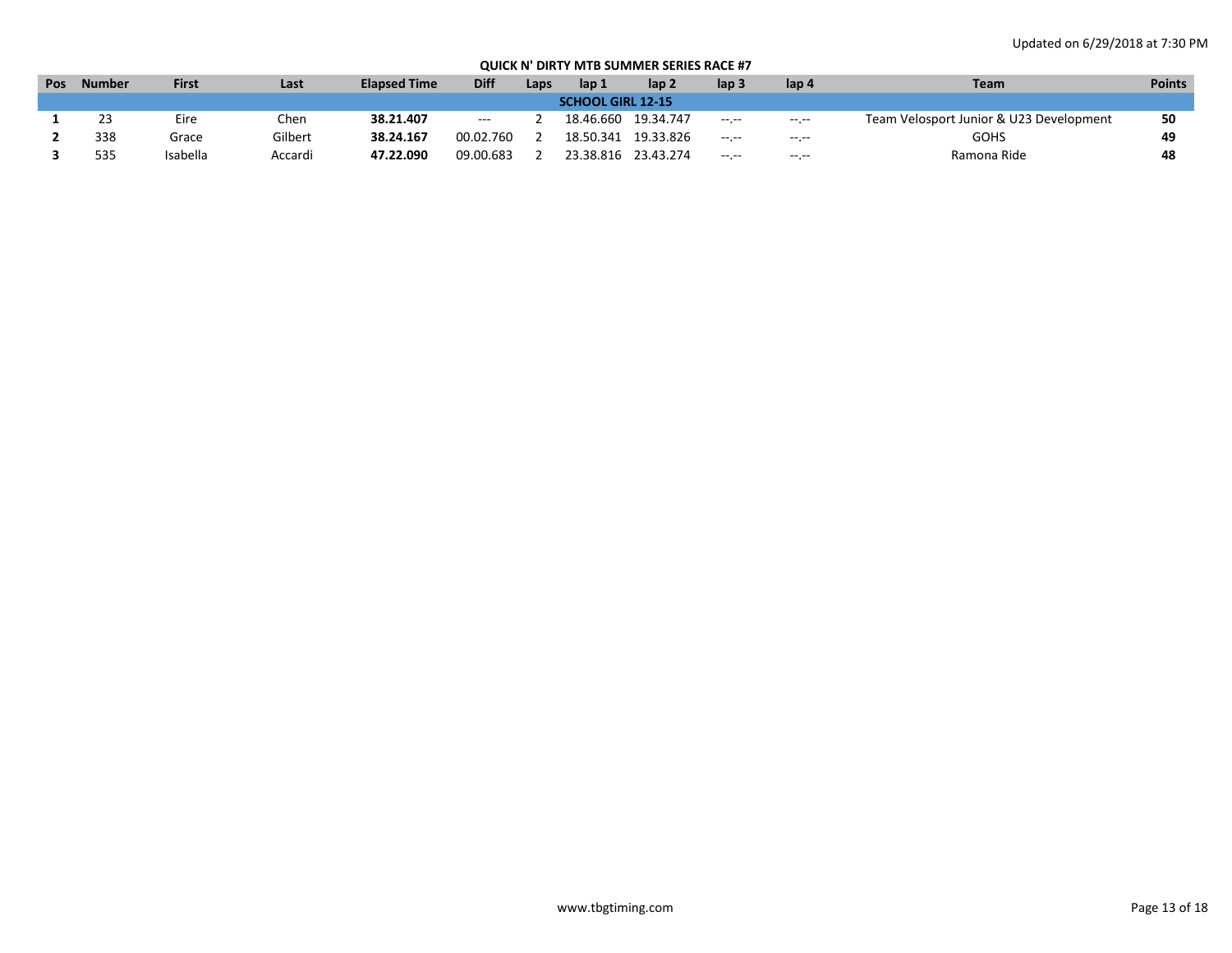| Pos | <b>Number</b>            | <b>First</b> | Last    | <b>Elapsed Time</b> | <b>Diff</b> | Laps | lap 1     | lap 2     | lap 3       | lap 4            | <b>Team</b>                             | <b>Points</b> |  |
|-----|--------------------------|--------------|---------|---------------------|-------------|------|-----------|-----------|-------------|------------------|-----------------------------------------|---------------|--|
|     | <b>SCHOOL GIRL 12-15</b> |              |         |                     |             |      |           |           |             |                  |                                         |               |  |
|     | 23                       | Eire         | Chen    | 38.21.407           | ---         |      | 18.46.660 | 19.34.747 | $- - - - -$ | $- - - - -$      | Team Velosport Junior & U23 Development | 50            |  |
|     | 338                      | Grace        | Gilbert | 38.24.167           | 00.02.760   |      | 18.50.341 | 19.33.826 | $-1.$       | $-1 - 1 - 1 = 0$ | GOHS                                    | 49            |  |
|     | 535                      | Isabella     | Accardi | 47.22.090           | 09.00.683   |      | 23.38.816 | 23.43.274 | --.--       | --.--            | Ramona Ride                             | 48            |  |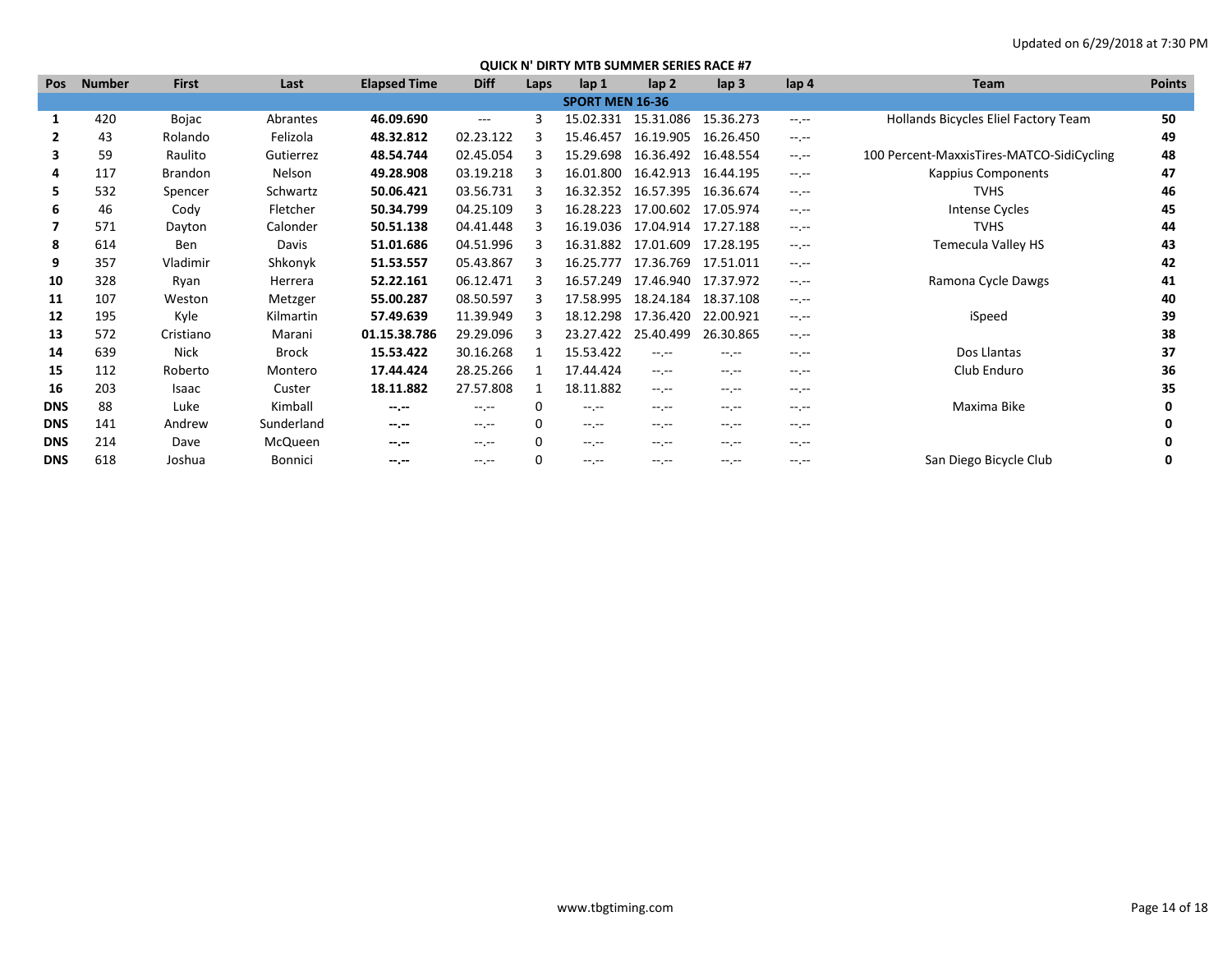| <b>Pos</b> | <b>Number</b> | <b>First</b>   | Last           | <b>Elapsed Time</b> | <b>Diff</b> | Laps | lap <sub>1</sub>       | lap <sub>2</sub> | $\mathsf{lap} 3$    | lap <sub>4</sub> | Team                                      | <b>Points</b> |
|------------|---------------|----------------|----------------|---------------------|-------------|------|------------------------|------------------|---------------------|------------------|-------------------------------------------|---------------|
|            |               |                |                |                     |             |      | <b>SPORT MEN 16-36</b> |                  |                     |                  |                                           |               |
|            | 420           | Bojac          | Abrantes       | 46.09.690           | $\cdots$    | 3    | 15.02.331              | 15.31.086        | 15.36.273           | $-1$ , $-1$      | Hollands Bicycles Eliel Factory Team      | 50            |
| 2          | 43            | Rolando        | Felizola       | 48.32.812           | 02.23.122   |      | 15.46.457              | 16.19.905        | 16.26.450           | $-1$             |                                           | 49            |
| 3          | 59            | Raulito        | Gutierrez      | 48.54.744           | 02.45.054   |      | 15.29.698              | 16.36.492        | 16.48.554           | $-1 - 1 - 1 = 0$ | 100 Percent-MaxxisTires-MATCO-SidiCycling | 48            |
| 4          | 117           | <b>Brandon</b> | Nelson         | 49.28.908           | 03.19.218   |      | 16.01.800              | 16.42.913        | 16.44.195           | $-1$             | <b>Kappius Components</b>                 | 47            |
| 5.         | 532           | Spencer        | Schwartz       | 50.06.421           | 03.56.731   |      | 16.32.352              | 16.57.395        | 16.36.674           | $-1$             | <b>TVHS</b>                               | 46            |
| 6          | 46            | Cody           | Fletcher       | 50.34.799           | 04.25.109   |      | 16.28.223              | 17.00.602        | 17.05.974           | $-1$ , $-1$      | <b>Intense Cycles</b>                     | 45            |
|            | 571           | Dayton         | Calonder       | 50.51.138           | 04.41.448   |      | 16.19.036              |                  | 17.04.914 17.27.188 | $-1$             | <b>TVHS</b>                               | 44            |
| 8          | 614           | <b>Ben</b>     | Davis          | 51.01.686           | 04.51.996   |      | 16.31.882              | 17.01.609        | 17.28.195           | $-1$             | Temecula Valley HS                        | 43            |
| 9          | 357           | Vladimir       | Shkonyk        | 51.53.557           | 05.43.867   |      | 16.25.777              | 17.36.769        | 17.51.011           | $-1$             |                                           | 42            |
| 10         | 328           | Ryan           | Herrera        | 52.22.161           | 06.12.471   |      | 16.57.249              | 17.46.940        | 17.37.972           | $-1$ , $-1$      | Ramona Cycle Dawgs                        | 41            |
| 11         | 107           | Weston         | Metzger        | 55.00.287           | 08.50.597   | 3    | 17.58.995              | 18.24.184        | 18.37.108           | $-1$ , $-1$      |                                           | 40            |
| 12         | 195           | Kyle           | Kilmartin      | 57.49.639           | 11.39.949   |      | 18.12.298              | 17.36.420        | 22.00.921           | $-1$ , $-1$      | iSpeed                                    | 39            |
| 13         | 572           | Cristiano      | Marani         | 01.15.38.786        | 29.29.096   |      | 23.27.422              | 25.40.499        | 26.30.865           | $-1$ , $-1$      |                                           | 38            |
| 14         | 639           | <b>Nick</b>    | <b>Brock</b>   | 15.53.422           | 30.16.268   |      | 15.53.422              | $-1$ , $-1$      | $-1$ , $-1$         | $-1$ .           | Dos Llantas                               | 37            |
| 15         | 112           | Roberto        | Montero        | 17.44.424           | 28.25.266   |      | 17.44.424              | $-1$ .           | $-1$ , $-1$         | $-1$ , $-1$      | Club Enduro                               | 36            |
| 16         | 203           | Isaac          | Custer         | 18.11.882           | 27.57.808   |      | 18.11.882              | $-1$ , $-1$      | $-1.1$              | $-1$ .           |                                           | 35            |
| <b>DNS</b> | 88            | Luke           | Kimball        | $-1 - 1 - 1 = 0$    | $-1.1$      | 0    | $-1.1$                 | $-1$             | $-1$ , $-1$         | $-1$ .           | Maxima Bike                               | 0             |
| <b>DNS</b> | 141           | Andrew         | Sunderland     | $-1 - 1 - 1 = 0$    | $-1$ , $-1$ | 0    | $-1$ , $-1$            | $-1$ .           | $-1$ , $-1$         | $-1$ .           |                                           | 0             |
| <b>DNS</b> | 214           | Dave           | McQueen        | --.--               | $-1$        | 0    | $-1$ . $-1$            | --.--            | --.--               | $-1$ .           |                                           | 0             |
| <b>DNS</b> | 618           | Joshua         | <b>Bonnici</b> | --.--               | $-1$ , $-1$ | O    | $-1$ . $-1$            | $-1$ . $-1$      | --.--               | $-1$ .           | San Diego Bicycle Club                    | 0             |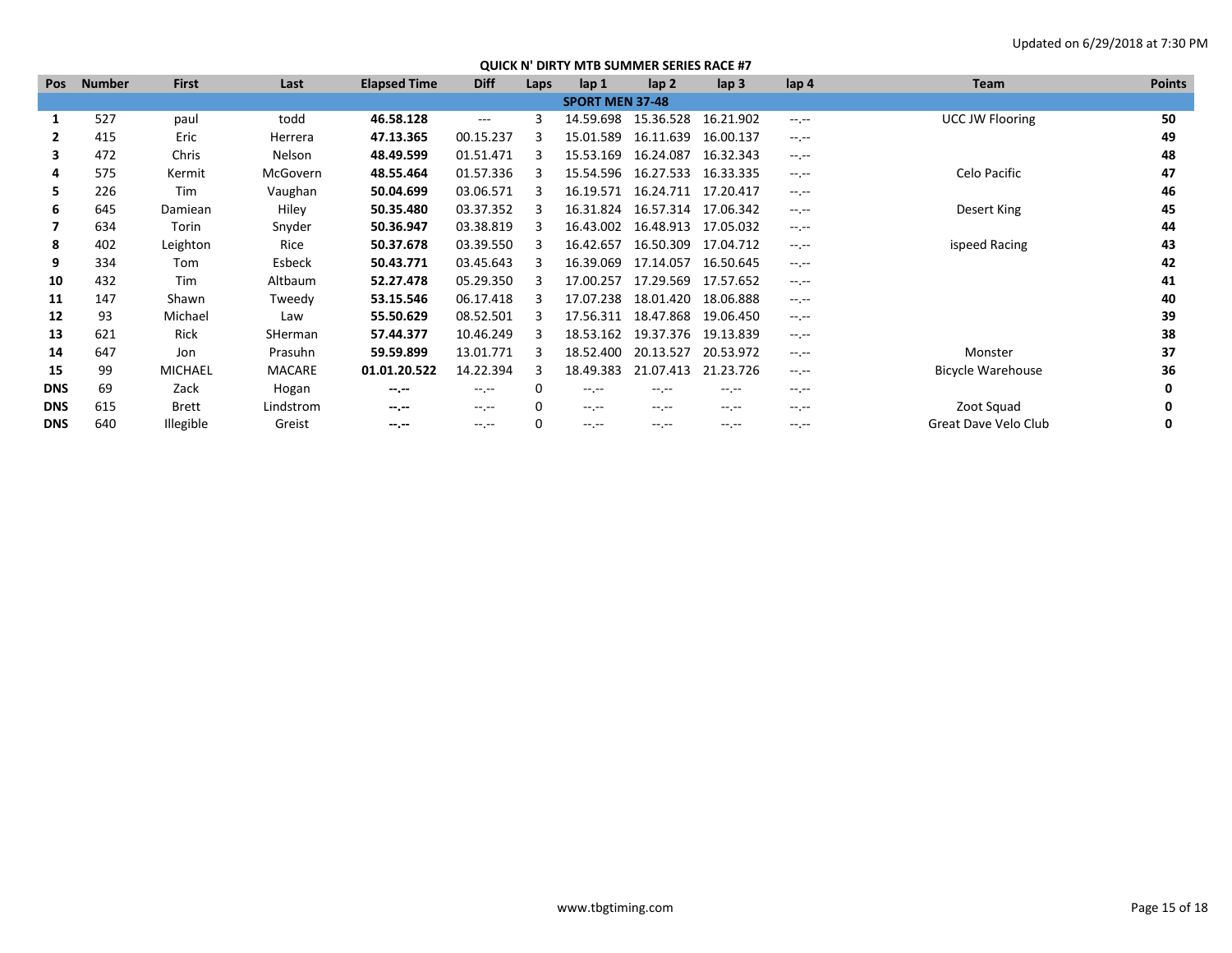| Pos        | <b>Number</b> | <b>First</b> | Last          | <b>Elapsed Time</b> | <b>Diff</b> | Laps | lap <sub>1</sub>       | lap <sub>2</sub> | $\mathsf{lap} 3$ | lap <sub>4</sub> | <b>Team</b>            | <b>Points</b> |
|------------|---------------|--------------|---------------|---------------------|-------------|------|------------------------|------------------|------------------|------------------|------------------------|---------------|
|            |               |              |               |                     |             |      | <b>SPORT MEN 37-48</b> |                  |                  |                  |                        |               |
|            | 527           | paul         | todd          | 46.58.128           | $\cdots$    | 3    | 14.59.698              | 15.36.528        | 16.21.902        | $-1$ , $-1$      | <b>UCC JW Flooring</b> | 50            |
| 2          | 415           | Eric         | Herrera       | 47.13.365           | 00.15.237   | 3    | 15.01.589              | 16.11.639        | 16.00.137        | $-1.1 -$         |                        | 49            |
| 3          | 472           | Chris        | Nelson        | 48.49.599           | 01.51.471   |      | 15.53.169              | 16.24.087        | 16.32.343        | $-1.1$           |                        | 48            |
| 4          | 575           | Kermit       | McGovern      | 48.55.464           | 01.57.336   |      | 15.54.596              | 16.27.533        | 16.33.335        | $-1$ , $-1$      | Celo Pacific           | 47            |
| 5          | 226           | Tim          | Vaughan       | 50.04.699           | 03.06.571   |      | 16.19.571              | 16.24.711        | 17.20.417        | $-1$ , $-1$      |                        | 46            |
| 6          | 645           | Damiean      | Hiley         | 50.35.480           | 03.37.352   |      | 16.31.824              | 16.57.314        | 17.06.342        | $-1$ , $-1$      | Desert King            | 45            |
|            | 634           | Torin        | Snyder        | 50.36.947           | 03.38.819   |      | 16.43.002              | 16.48.913        | 17.05.032        | $-1$ , $-1$      |                        | 44            |
| 8          | 402           | Leighton     | Rice          | 50.37.678           | 03.39.550   |      | 16.42.657              | 16.50.309        | 17.04.712        | $-1$ .           | ispeed Racing          | 43            |
| 9          | 334           | Tom          | Esbeck        | 50.43.771           | 03.45.643   |      | 16.39.069              | 17.14.057        | 16.50.645        | $-1$ , $-1$      |                        | 42            |
| 10         | 432           | Tim          | Altbaum       | 52.27.478           | 05.29.350   |      | 17.00.257              | 17.29.569        | 17.57.652        | $-1$ , $-1$      |                        | 41            |
| 11         | 147           | Shawn        | Tweedy        | 53.15.546           | 06.17.418   |      | 17.07.238              | 18.01.420        | 18.06.888        | $-1$ , $-1$      |                        | 40            |
| 12         | 93            | Michael      | Law           | 55.50.629           | 08.52.501   |      | 17.56.311              | 18.47.868        | 19.06.450        | $-1.1$           |                        | 39            |
| 13         | 621           | Rick         | SHerman       | 57.44.377           | 10.46.249   |      | 18.53.162              | 19.37.376        | 19.13.839        | $-1$ , $-1$      |                        | 38            |
| 14         | 647           | Jon          | Prasuhn       | 59.59.899           | 13.01.771   |      | 18.52.400              | 20.13.527        | 20.53.972        | $-1$ , $-1$      | Monster                | 37            |
| 15         | 99            | MICHAEL      | <b>MACARE</b> | 01.01.20.522        | 14.22.394   | 3    | 18.49.383              | 21.07.413        | 21.23.726        | $-1.1 -$         | Bicycle Warehouse      | 36            |
| <b>DNS</b> | 69            | Zack         | Hogan         | $-1.1$              | $-1$ , $-1$ | 0    | $-1$ .                 | $-1$             | $-1$ .           | $-1$ , $-1$      |                        |               |
| <b>DNS</b> | 615           | <b>Brett</b> | Lindstrom     | $-1.1$              | $-1$ , $-1$ | 0    | $-1$ .                 | $-1$             | $-1.1 -$         | $-1$ .           | Zoot Squad             | 0             |
| <b>DNS</b> | 640           | Illegible    | Greist        | $-1.1$              | $-1. - -$   | 0    | $-1$ . $-1$            | $-1$             | $-1$             | $-1.1 -$         | Great Dave Velo Club   | 0             |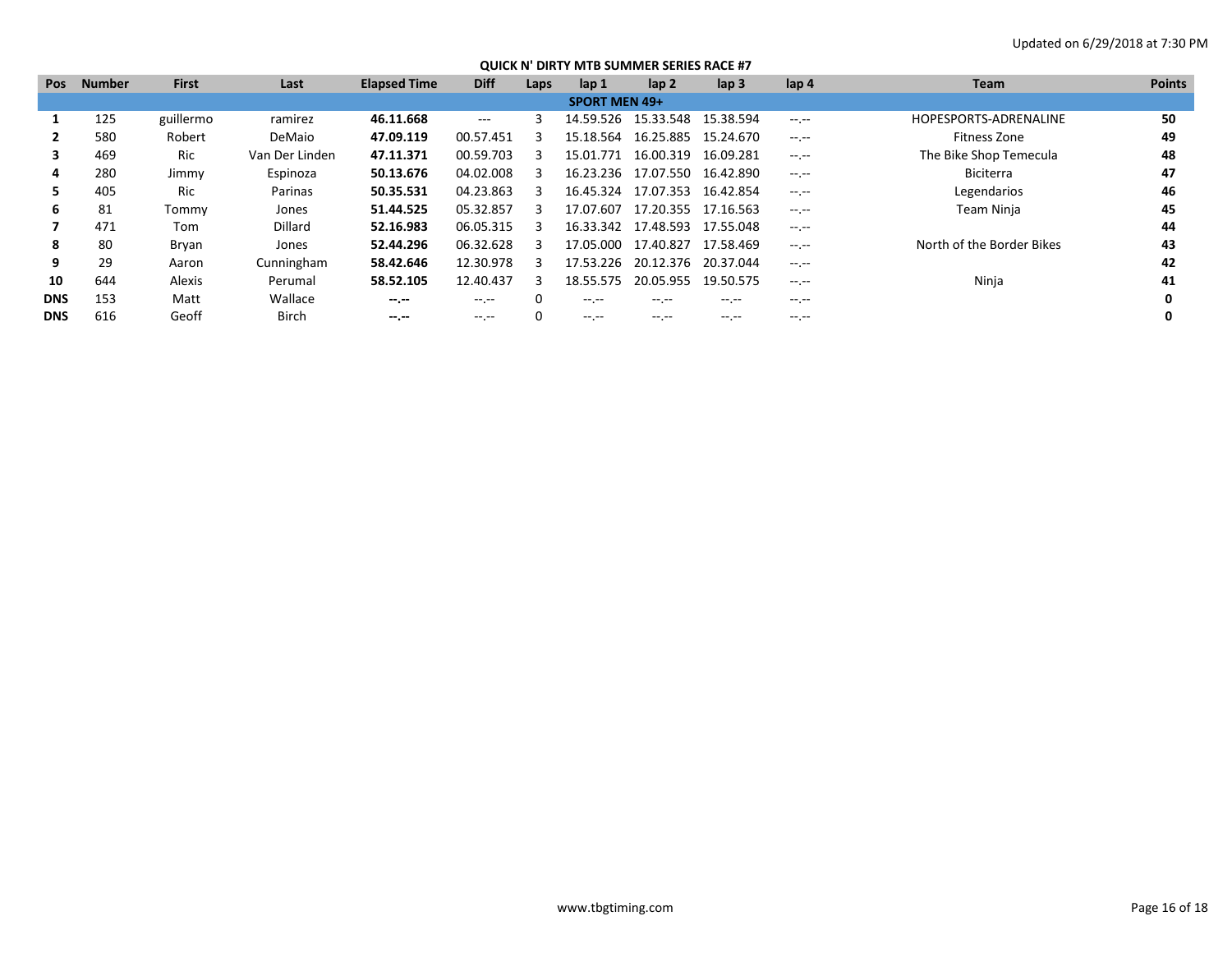| Pos        | <b>Number</b> | <b>First</b> | Last           | <b>Elapsed Time</b> | <b>Diff</b> | Laps | lap <sub>1</sub>     | lap <sub>2</sub>    | $\mathsf{lap} 3$ | lap 4            | <b>Team</b>               | <b>Points</b> |
|------------|---------------|--------------|----------------|---------------------|-------------|------|----------------------|---------------------|------------------|------------------|---------------------------|---------------|
|            |               |              |                |                     |             |      | <b>SPORT MEN 49+</b> |                     |                  |                  |                           |               |
|            | 125           | guillermo    | ramirez        | 46.11.668           | $  -$       |      |                      | 14.59.526 15.33.548 | 15.38.594        | $-1 - 1 - 1 = 0$ | HOPESPORTS-ADRENALINE     | 50            |
|            | 580           | Robert       | DeMaio         | 47.09.119           | 00.57.451   |      | 15.18.564            | 16.25.885 15.24.670 |                  | $-1.1 - 1.0$     | Fitness Zone              | 49            |
|            | 469           | Ric          | Van Der Linden | 47.11.371           | 00.59.703   |      | 15.01.771            | 16.00.319           | 16.09.281        | $-1$ .           | The Bike Shop Temecula    | 48            |
| 4          | 280           | Jimmy        | Espinoza       | 50.13.676           | 04.02.008   |      | 16.23.236            | 17.07.550           | 16.42.890        | $-1 - 1 - 1 = 0$ | <b>Biciterra</b>          | 47            |
|            | 405           | Ric          | Parinas        | 50.35.531           | 04.23.863   |      | 16.45.324            | 17.07.353           | 16.42.854        | $-1.1 - 1.0$     | Legendarios               | 46            |
| 6          | 81            | Tommy        | Jones          | 51.44.525           | 05.32.857   | 3    | 17.07.607            | 17.20.355           | 17.16.563        | $-1$ , $-1$      | Team Ninja                | 45            |
|            | 471           | Tom          | Dillard        | 52.16.983           | 06.05.315   |      | 16.33.342            | 17.48.593 17.55.048 |                  | $-1 - 1 - 1 = 0$ |                           | 44            |
| 8          | 80            | Bryan        | Jones          | 52.44.296           | 06.32.628   |      | 17.05.000            | 17.40.827           | 17.58.469        | $-1.1 - 1.0$     | North of the Border Bikes | 43            |
| 9          | 29            | Aaron        | Cunningham     | 58.42.646           | 12.30.978   |      | 17.53.226            | 20.12.376           | 20.37.044        | $-1 - 1 - 1 = 0$ |                           | 42            |
| 10         | 644           | Alexis       | Perumal        | 58.52.105           | 12.40.437   | २    | 18.55.575            | 20.05.955           | 19.50.575        | $-1.1 - 1.0$     | Ninja                     | 41            |
| <b>DNS</b> | 153           | Matt         | Wallace        | $-1. - 1.$          | $-1.1$      |      | -- --                | $-1$                |                  | $-1.1 -$         |                           |               |
| <b>DNS</b> | 616           | Geoff        | <b>Birch</b>   | $- - - - -$         | -- --       |      | $\cdots$             | -- --               | -- --            |                  |                           |               |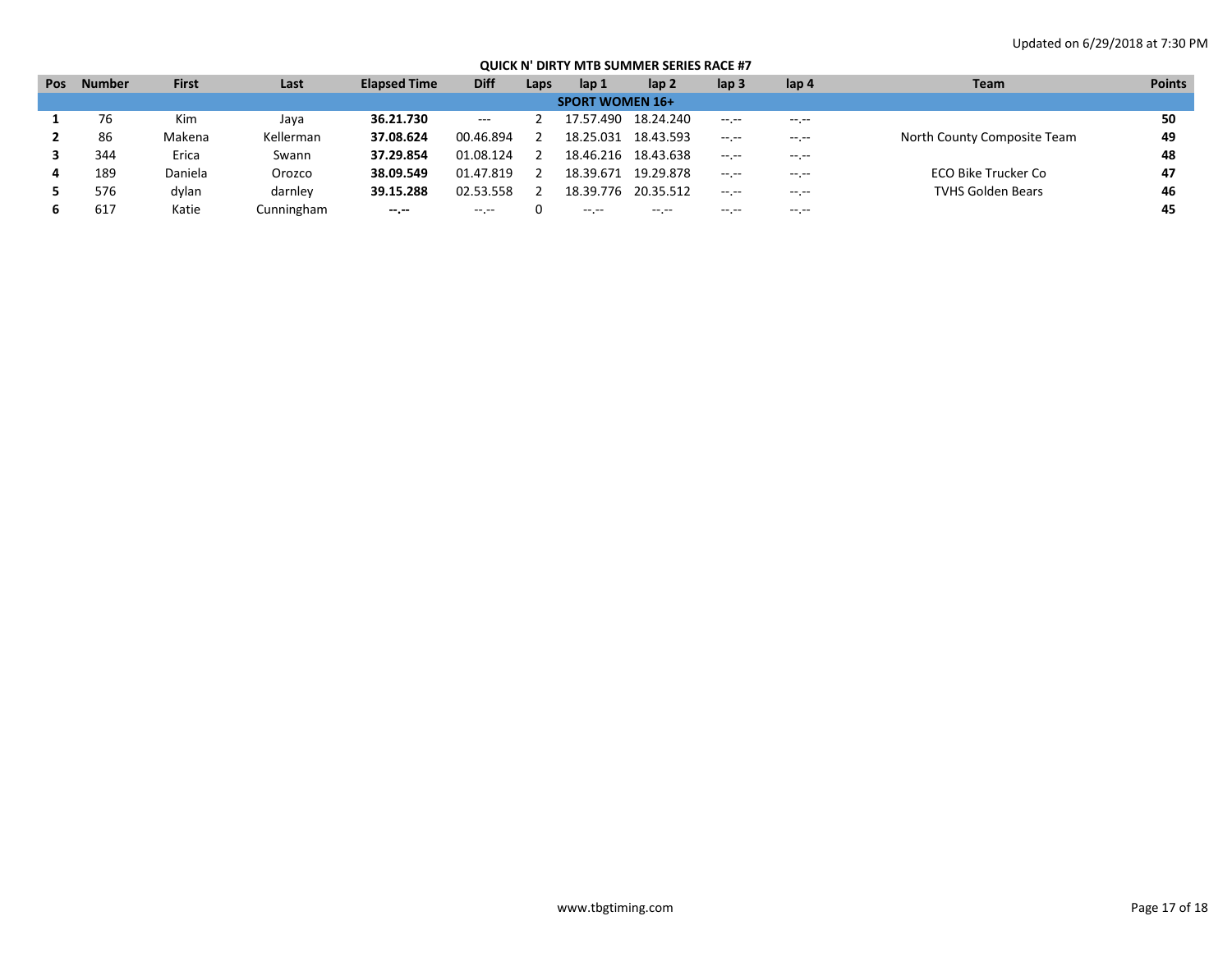| Pos | <b>Number</b> | <b>First</b> | Last       | <b>Elapsed Time</b> | <b>Diff</b>              | Laps | lap 1     | lap 2       | lap <sub>3</sub>                                                                                                                                                                                                                                                                                                                                                                             | lap 4            | <b>Team</b>                 | <b>Points</b> |
|-----|---------------|--------------|------------|---------------------|--------------------------|------|-----------|-------------|----------------------------------------------------------------------------------------------------------------------------------------------------------------------------------------------------------------------------------------------------------------------------------------------------------------------------------------------------------------------------------------------|------------------|-----------------------------|---------------|
|     |               |              |            |                     |                          |      |           |             |                                                                                                                                                                                                                                                                                                                                                                                              |                  |                             |               |
|     | 76            | Kim          | Java       | 36.21.730           | $\hspace{0.05cm} \ldots$ |      | 17.57.490 | 18.24.240   | $-1 - 1 - 1 = 0$                                                                                                                                                                                                                                                                                                                                                                             | $-1 - 1 - 1 = 0$ |                             | 50            |
|     | 86            | Makena       | Kellerman  | 37.08.624           | 00.46.894                |      | 18.25.031 | 18.43.593   | $-2.2 - 1.2 - 1.2$                                                                                                                                                                                                                                                                                                                                                                           | --.--            | North County Composite Team | 49            |
|     | 344           | Erica        | Swann      | 37.29.854           | 01.08.124                |      | 18.46.216 | 18.43.638   | $-1 - 1 - 1 = 0$                                                                                                                                                                                                                                                                                                                                                                             | $- - - - -$      |                             | 48            |
|     | 189           | Daniela      | Orozco     | 38.09.549           | 01.47.819                |      | 18.39.671 | 19.29.878   | $-1 - 1 - 1 = 0$                                                                                                                                                                                                                                                                                                                                                                             | --.--            | ECO Bike Trucker Co         | 47            |
|     | 576           | dylan        | darnley    | 39.15.288           | 02.53.558                |      | 18.39.776 | 20.35.512   | $\frac{1}{2} \frac{1}{2} \frac{1}{2} \frac{1}{2} \frac{1}{2} \frac{1}{2} \frac{1}{2} \frac{1}{2} \frac{1}{2} \frac{1}{2} \frac{1}{2} \frac{1}{2} \frac{1}{2} \frac{1}{2} \frac{1}{2} \frac{1}{2} \frac{1}{2} \frac{1}{2} \frac{1}{2} \frac{1}{2} \frac{1}{2} \frac{1}{2} \frac{1}{2} \frac{1}{2} \frac{1}{2} \frac{1}{2} \frac{1}{2} \frac{1}{2} \frac{1}{2} \frac{1}{2} \frac{1}{2} \frac{$ | $-1 - 1 - 1 = 0$ | <b>TVHS Golden Bears</b>    | 46            |
|     | 617           | Katie        | Cunningham | $- - - - -$         | $\cdots$                 |      | $\cdots$  | $- - - - -$ | $\cdots$                                                                                                                                                                                                                                                                                                                                                                                     | $- - - - -$      |                             | 45            |